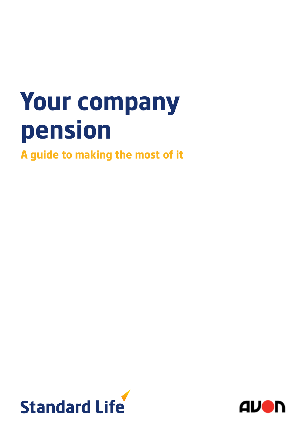# **Your company pension**

**A guide to making the most of it**



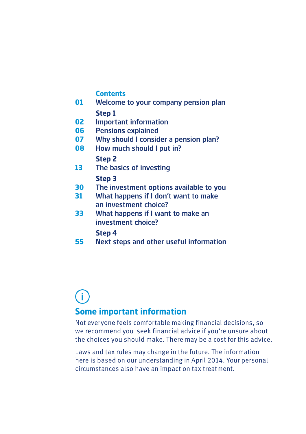#### **Contents**

- **01** Welcome to your company pension plan **Step 1**
- **02** Important information
- **06** Pensions explained
- **07** Why should I consider a pension plan?
- **08** How much should I put in?

#### **Step 2**

**13** The basics of investing

#### **Step 3**

- **30** The investment options available to you
- **31** What happens if I don't want to make an investment choice?
- **33** What happens if I want to make an investment choice?

#### **Step 4**

**55** Next steps and other useful information

## **f**

### **Some important information**

Not everyone feels comfortable making financial decisions, so we recommend you seek financial advice if you're unsure about the choices you should make. There may be a cost for this advice.

Laws and tax rules may change in the future. The information here is based on our understanding in April 2014. Your personal circumstances also have an impact on tax treatment.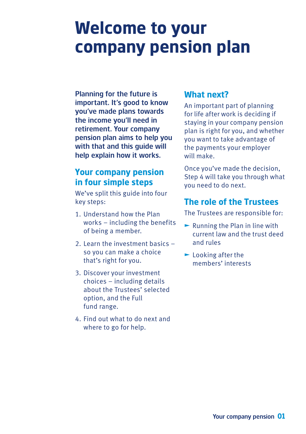## **Welcome to your company pension plan**

Planning for the future is important. It's good to know you've made plans towards the income you'll need in retirement. Your company pension plan aims to help you with that and this guide will help explain how it works.

### **Your company pension in four simple steps**

We've split this guide into four key steps:

- 1. Understand how the Plan works – including the benefits of being a member.
- 2. Learn the investment basics so you can make a choice that's right for you.
- 3. Discover your investment choices – including details about the Trustees' selected option, and the Full fund range.
- 4. Find out what to do next and where to go for help.

### **What next?**

An important part of planning for life after work is deciding if staying in your company pension plan is right for you, and whether you want to take advantage of the payments your employer will make.

Once you've made the decision, Step 4 will take you through what you need to do next.

## **The role of the Trustees**

The Trustees are responsible for:

- $\blacktriangleright$  Running the Plan in line with current law and the trust deed and rules
- $\blacktriangleright$  Looking after the members' interests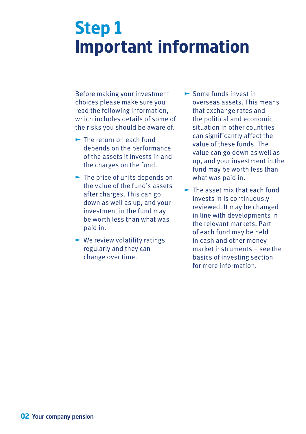## **Step 1 Important information**

Before making your investment choices please make sure you read the following information, which includes details of some of the risks you should be aware of.

- $\blacktriangleright$  The return on each fund depends on the performance of the assets it invests in and the charges on the fund.
- $\blacktriangleright$  The price of units depends on the value of the fund's assets after charges. This can go down as well as up, and your investment in the fund may be worth less than what was paid in.
- $\blacktriangleright$  We review volatility ratings regularly and they can change over time.
- $\blacktriangleright$  Some funds invest in overseas assets. This means that exchange rates and the political and economic situation in other countries can significantly affect the value of these funds. The value can go down as well as up, and your investment in the fund may be worth less than what was paid in.
- $\blacktriangleright$  The asset mix that each fund invests in is continuously reviewed. It may be changed in line with developments in the relevant markets. Part of each fund may be held in cash and other money market instruments – see the basics of investing section for more information.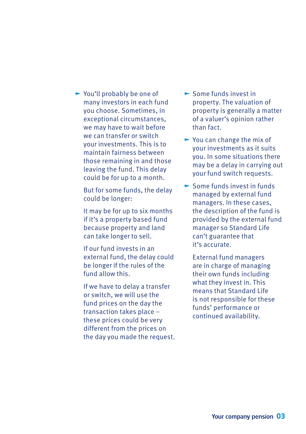¬You'll probably be one of many investors in each fund you choose. Sometimes, in exceptional circumstances, we may have to wait before we can transfer or switch your investments. This is to maintain fairness between those remaining in and those leaving the fund. This delay could be for up to a month.

But for some funds, the delay could be longer:

It may be for up to six months if it's a property based fund because property and land can take longer to sell.

If our fund invests in an external fund, the delay could be longer if the rules of the fund allow this.

If we have to delay a transfer or switch, we will use the fund prices on the day the transaction takes place – these prices could be very different from the prices on the day you made the request.

- $\blacktriangleright$  Some funds invest in property. The valuation of property is generally a matter of a valuer's opinion rather than fact.
- $\blacktriangleright$  You can change the mix of your investments as it suits you. In some situations there may be a delay in carrying out your fund switch requests.
- $\blacktriangleright$  Some funds invest in funds managed by external fund managers. In these cases, the description of the fund is provided by the external fund manager so Standard Life can't guarantee that it's accurate.

External fund managers are in charge of managing their own funds including what they invest in. This means that Standard Life is not responsible for these funds' performance or continued availability.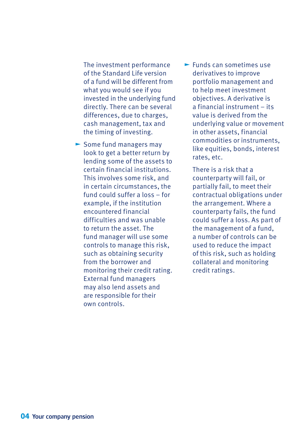The investment performance of the Standard Life version of a fund will be different from what you would see if you invested in the underlying fund directly. There can be several differences, due to charges, cash management, tax and the timing of investing.

- $\blacktriangleright$  Some fund managers may look to get a better return by lending some of the assets to certain financial institutions. This involves some risk, and in certain circumstances, the fund could suffer a loss – for example, if the institution encountered financial difficulties and was unable to return the asset. The fund manager will use some controls to manage this risk, such as obtaining security from the borrower and monitoring their credit rating. External fund managers may also lend assets and are responsible for their own controls.
- $\blacktriangleright$  Funds can sometimes use derivatives to improve portfolio management and to help meet investment objectives. A derivative is a financial instrument – its value is derived from the underlying value or movement in other assets, financial commodities or instruments, like equities, bonds, interest rates, etc.

There is a risk that a counterparty will fail, or partially fail, to meet their contractual obligations under the arrangement. Where a counterparty fails, the fund could suffer a loss. As part of the management of a fund, a number of controls can be used to reduce the impact of this risk, such as holding collateral and monitoring credit ratings.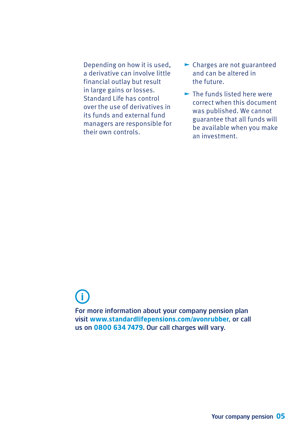Depending on how it is used, a derivative can involve little financial outlay but result in large gains or losses. Standard Life has control over the use of derivatives in its funds and external fund managers are responsible for their own controls.

- ¬Charges are not guaranteed and can be altered in the future.
- $\blacktriangleright$  The funds listed here were correct when this document was published. We cannot guarantee that all funds will be available when you make an investment.

**i** For more information about your company pension plan visit **www.standardlifepensions.com/avonrubber**, or call us on **0800 634 7479.** Our call charges will vary.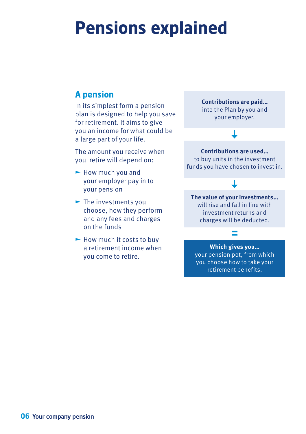## **Pensions explained**

## **A pension**

In its simplest form a pension plan is designed to help you save for retirement. It aims to give you an income for what could be a large part of your life.

The amount you receive when you retire will depend on:

- $\blacktriangleright$  How much you and your employer pay in to your pension
- $\blacktriangleright$  The investments you choose, how they perform and any fees and charges on the funds
- $\blacktriangleright$  How much it costs to buy a retirement income when you come to retire.

**Contributions are paid…**  into the Plan by you and your employer.

#### **Contributions are used…** to buy units in the investment funds you have chosen to invest in.

**The value of your investments…** will rise and fall in line with investment returns and charges will be deducted.

**Which gives you…** your pension pot, from which you choose how to take your retirement benefits.

**=**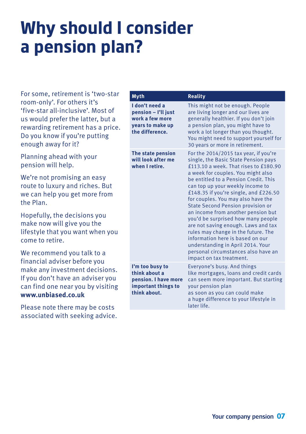## **Why should I consider a pension plan?**

For some, retirement is 'two‑star room‑only'. For others it's 'five‑star all‑inclusive'. Most of us would prefer the latter, but a rewarding retirement has a price. Do you know if you're putting enough away for it?

Planning ahead with your pension will help.

We're not promising an easy route to luxury and riches. But we can help you get more from the Plan.

Hopefully, the decisions you make now will give you the lifestyle that you want when you come to retire.

We recommend you talk to a financial adviser before you make any investment decisions. If you don't have an adviser you can find one near you by visiting **www.unbiased.co.uk**

Please note there may be costs associated with seeking advice.

| <b>Myth</b>                                                                                     | <b>Reality</b>                                                                                                                                                                                                                                                                                                                                                                                                                                                                                                                                                                                                                                                               |
|-------------------------------------------------------------------------------------------------|------------------------------------------------------------------------------------------------------------------------------------------------------------------------------------------------------------------------------------------------------------------------------------------------------------------------------------------------------------------------------------------------------------------------------------------------------------------------------------------------------------------------------------------------------------------------------------------------------------------------------------------------------------------------------|
| I don't need a<br>pension - I'll just<br>work a few more<br>vears to make up<br>the difference. | This might not be enough. People<br>are living longer and our lives are<br>generally healthier. If you don't join<br>a pension plan, you might have to<br>work a lot longer than you thought.<br>You might need to support yourself for<br>30 years or more in retirement.                                                                                                                                                                                                                                                                                                                                                                                                   |
| The state pension<br>will look after me<br>when I retire.                                       | For the 2014/2015 tax year, if you're<br>single, the Basic State Pension pays<br>£113.10 a week. That rises to £180.90<br>a week for couples. You might also<br>be entitled to a Pension Credit. This<br>can top up your weekly income to<br>£148.35 if you're single, and $£226.50$<br>for couples. You may also have the<br><b>State Second Pension provision or</b><br>an income from another pension but<br>you'd be surprised how many people<br>are not saving enough. Laws and tax<br>rules may change in the future. The<br>information here is based on our<br>understanding in April 2014. Your<br>personal circumstances also have an<br>impact on tax treatment. |
| I'm too busy to<br>think about a<br>pension. I have more<br>important things to<br>think about. | Everyone's busy. And things<br>like mortgages, loans and credit cards<br>can seem more important. But starting<br>your pension plan<br>as soon as you can could make<br>a huge difference to your lifestyle in<br>later life.                                                                                                                                                                                                                                                                                                                                                                                                                                                |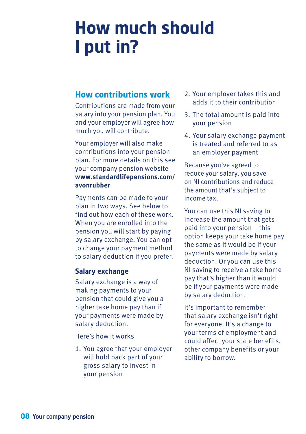## **How much should I put in?**

### **How contributions work**

Contributions are made from your salary into your pension plan. You and your employer will agree how much you will contribute.

Your employer will also make contributions into your pension plan. For more details on this see your company pension website **www.standardlifepensions.com/ avonrubber** 

Payments can be made to your plan in two ways. See below to find out how each of these work. When you are enrolled into the pension you will start by paying by salary exchange. You can opt to change your payment method to salary deduction if you prefer.

#### **Salary exchange**

Salary exchange is a way of making payments to your pension that could give you a higher take home pay than if your payments were made by salary deduction.

Here's how it works

1. You agree that your employer will hold back part of your gross salary to invest in your pension

- 2. Your employer takes this and adds it to their contribution
- 3. The total amount is paid into your pension
- 4. Your salary exchange payment is treated and referred to as an employer payment

Because you've agreed to reduce your salary, you save on NI contributions and reduce the amount that's subject to income tax.

You can use this NI saving to increase the amount that gets paid into your pension – this option keeps your take home pay the same as it would be if your payments were made by salary deduction. Or you can use this NI saving to receive a take home pay that's higher than it would be if your payments were made by salary deduction.

It's important to remember that salary exchange isn't right for everyone. It's a change to your terms of employment and could affect your state benefits, other company benefits or your ability to borrow.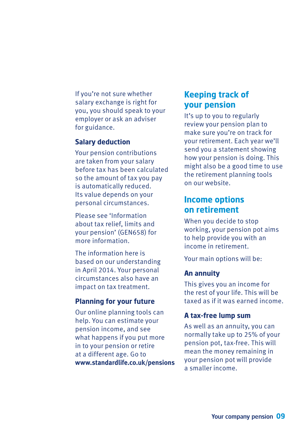If you're not sure whether salary exchange is right for you, you should speak to your employer or ask an adviser for guidance.

#### **Salary deduction**

Your pension contributions are taken from your salary before tax has been calculated so the amount of tax you pay is automatically reduced. Its value depends on your personal circumstances.

Please see 'Information about tax relief, limits and your pension' (GEN658) for more information.

The information here is based on our understanding in April 2014. Your personal circumstances also have an impact on tax treatment.

#### **Planning for your future**

Our online planning tools can help. You can estimate your pension income, and see what happens if you put more in to your pension or retire at a different age. Go to **www.standardlife.co.uk/pensions**

## **Keeping track of your pension**

It's up to you to regularly review your pension plan to make sure you're on track for your retirement. Each year we'll send you a statement showing how your pension is doing. This might also be a good time to use the retirement planning tools on our website.

### **Income options on retirement**

When you decide to stop working, your pension pot aims to help provide you with an income in retirement.

Your main options will be:

#### **An annuity**

This gives you an income for the rest of your life. This will be taxed as if it was earned income.

#### **A tax‑free lump sum**

As well as an annuity, you can normally take up to 25% of your pension pot, tax‑free. This will mean the money remaining in your pension pot will provide a smaller income.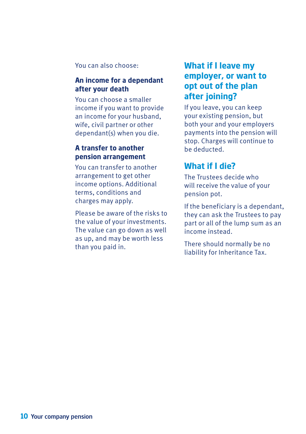#### You can also choose:

#### **An income for a dependant after your death**

You can choose a smaller income if you want to provide an income for your husband, wife, civil partner or other dependant(s) when you die.

#### **A transfer to another pension arrangement**

You can transfer to another arrangement to get other income options. Additional terms, conditions and charges may apply.

Please be aware of the risks to the value of your investments. The value can go down as well as up, and may be worth less than you paid in.

## **What if I leave my employer, or want to opt out of the plan after joining?**

If you leave, you can keep your existing pension, but both your and your employers payments into the pension will stop. Charges will continue to be deducted.

### **What if I die?**

The Trustees decide who will receive the value of your pension pot.

If the beneficiary is a dependant, they can ask the Trustees to pay part or all of the lump sum as an income instead.

There should normally be no liability for Inheritance Tax.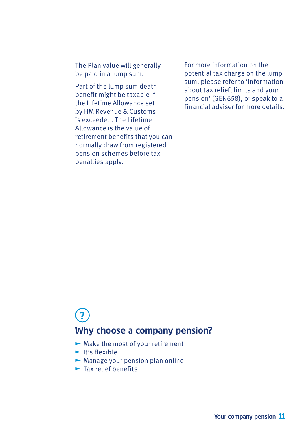The Plan value will generally be paid in a lump sum.

Part of the lump sum death benefit might be taxable if the Lifetime Allowance set by HM Revenue & Customs is exceeded. The Lifetime Allowance is the value of retirement benefits that you can normally draw from registered pension schemes before tax penalties apply.

For more information on the potential tax charge on the lump sum, please refer to 'Information about tax relief, limits and your pension' (GEN658), or speak to a financial adviser for more details.

## $\overline{\mathbf{?}}$ Why choose a company pension?

- $\blacktriangleright$  Make the most of your retirement
- $\blacktriangleright$  It's flexible
- $\blacktriangleright$  Manage your pension plan online
- $\blacktriangleright$  Tax relief benefits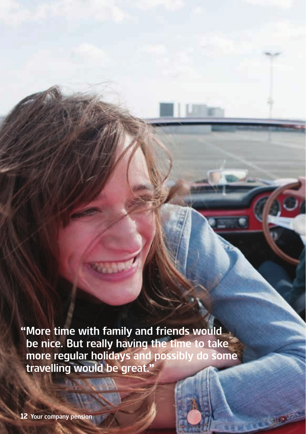**"**More time with family and friends would be nice. But really having the time to take more regular holidays and possibly do some travelling would be great.**"**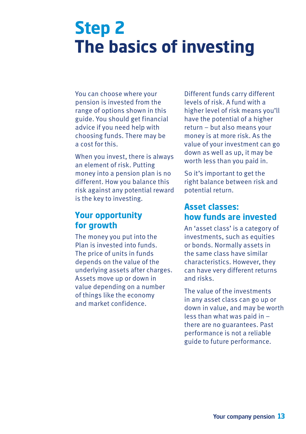## **Step 2 The basics of investing**

You can choose where your pension is invested from the range of options shown in this guide. You should get financial advice if you need help with choosing funds. There may be a cost for this.

When you invest, there is always an element of risk. Putting money into a pension plan is no different. How you balance this risk against any potential reward is the key to investing.

## **Your opportunity for growth**

The money you put into the Plan is invested into funds. The price of units in funds depends on the value of the underlying assets after charges. Assets move up or down in value depending on a number of things like the economy and market confidence.

Different funds carry different levels of risk. A fund with a higher level of risk means you'll have the potential of a higher return – but also means your money is at more risk. As the value of your investment can go down as well as up, it may be worth less than you paid in.

So it's important to get the right balance between risk and potential return.

## **Asset classes: how funds are invested**

An 'asset class' is a category of investments, such as equities or bonds. Normally assets in the same class have similar characteristics. However, they can have very different returns and risks.

The value of the investments in any asset class can go up or down in value, and may be worth less than what was paid in – there are no guarantees. Past performance is not a reliable guide to future performance.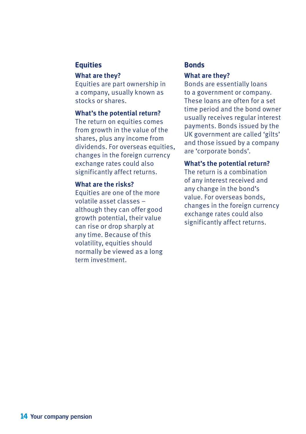#### **Equities**

#### **What are they?**

Equities are part ownership in a company, usually known as stocks or shares.

#### **What's the potential return?**

The return on equities comes from growth in the value of the shares, plus any income from dividends. For overseas equities, changes in the foreign currency exchange rates could also significantly affect returns.

#### **What are the risks?**

Equities are one of the more volatile asset classes – although they can offer good growth potential, their value can rise or drop sharply at any time. Because of this volatility, equities should normally be viewed as a long term investment.

#### **Bonds**

#### **What are they?**

Bonds are essentially loans to a government or company. These loans are often for a set time period and the bond owner usually receives regular interest payments. Bonds issued by the UK government are called 'gilts' and those issued by a company are 'corporate bonds'.

#### **What's the potential return?**

The return is a combination of any interest received and any change in the bond's value. For overseas bonds, changes in the foreign currency exchange rates could also significantly affect returns.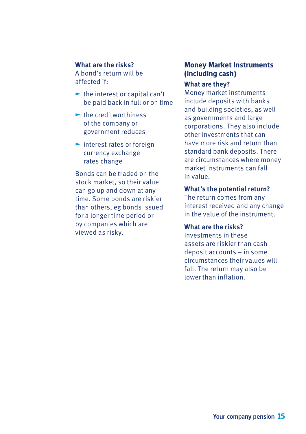#### **What are the risks?**

A bond's return will be affected if:

- $\blacktriangleright$  the interest or capital can't be paid back in full or on time
- $\blacktriangleright$  the creditworthiness of the company or government reduces
- $\blacktriangleright$  interest rates or foreign currency exchange rates change

Bonds can be traded on the stock market, so their value can go up and down at any time. Some bonds are riskier than others, eg bonds issued for a longer time period or by companies which are viewed as risky.

#### **Money Market Instruments (including cash)**

#### **What are they?**

Money market instruments include deposits with banks and building societies, as well as governments and large corporations. They also include other investments that can have more risk and return than standard bank deposits. There are circumstances where money market instruments can fall in value.

#### **What's the potential return?**

The return comes from any interest received and any change in the value of the instrument.

#### **What are the risks?**

Investments in these assets are riskier than cash deposit accounts – in some circumstances their values will fall. The return may also be lower than inflation.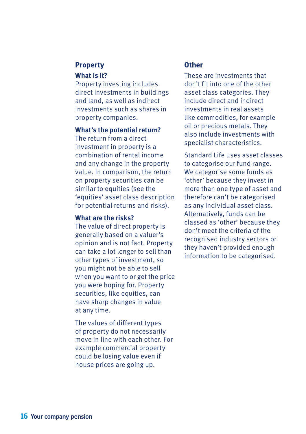#### **Property**

#### **What is it?**

Property investing includes direct investments in buildings and land, as well as indirect investments such as shares in property companies.

#### **What's the potential return?**

The return from a direct investment in property is a combination of rental income and any change in the property value. In comparison, the return on property securities can be similar to equities (see the 'equities' asset class description for potential returns and risks).

#### **What are the risks?**

The value of direct property is generally based on a valuer's opinion and is not fact. Property can take a lot longer to sell than other types of investment, so you might not be able to sell when you want to or get the price you were hoping for. Property securities, like equities, can have sharp changes in value at any time.

The values of different types of property do not necessarily move in line with each other. For example commercial property could be losing value even if house prices are going up.

#### **Other**

These are investments that don't fit into one of the other asset class categories. They include direct and indirect investments in real assets like commodities, for example oil or precious metals. They also include investments with specialist characteristics.

Standard Life uses asset classes to categorise our fund range. We categorise some funds as 'other' because they invest in more than one type of asset and therefore can't be categorised as any individual asset class. Alternatively, funds can be classed as 'other' because they don't meet the criteria of the recognised industry sectors or they haven't provided enough information to be categorised.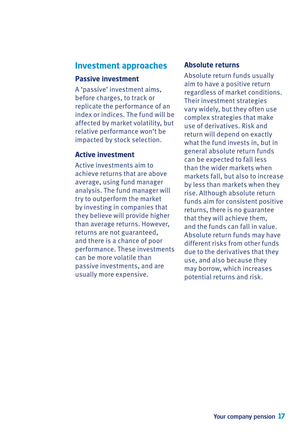### **Investment approaches**

#### **Passive investment**

A 'passive' investment aims, before charges, to track or replicate the performance of an index or indices. The fund will be affected by market volatility, but relative performance won't be impacted by stock selection.

#### **Active investment**

Active investments aim to achieve returns that are above average, using fund manager analysis. The fund manager will try to outperform the market by investing in companies that they believe will provide higher than average returns. However, returns are not guaranteed, and there is a chance of poor performance. These investments can be more volatile than passive investments, and are usually more expensive.

#### **Absolute returns**

Absolute return funds usually aim to have a positive return regardless of market conditions. Their investment strategies vary widely, but they often use complex strategies that make use of derivatives. Risk and return will depend on exactly what the fund invests in, but in general absolute return funds can be expected to fall less than the wider markets when markets fall, but also to increase by less than markets when they rise. Although absolute return funds aim for consistent positive returns, there is no guarantee that they will achieve them, and the funds can fall in value. Absolute return funds may have different risks from other funds due to the derivatives that they use, and also because they may borrow, which increases potential returns and risk.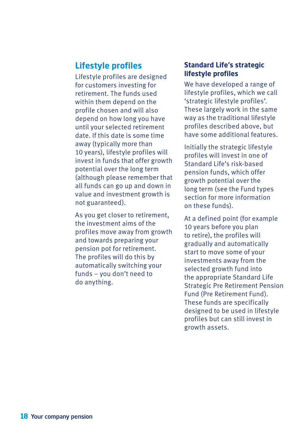### **Lifestyle profiles**

Lifestyle profiles are designed for customers investing for retirement. The funds used within them depend on the profile chosen and will also depend on how long you have until your selected retirement date. If this date is some time away (typically more than 10 years), lifestyle profiles will invest in funds that offer growth potential over the long term (although please remember that all funds can go up and down in value and investment growth is not guaranteed).

As you get closer to retirement, the investment aims of the profiles move away from growth and towards preparing your pension pot for retirement. The profiles will do this by automatically switching your funds – you don't need to do anything.

#### **Standard Life's strategic lifestyle profiles**

We have developed a range of lifestyle profiles, which we call 'strategic lifestyle profiles'. These largely work in the same way as the traditional lifestyle profiles described above, but have some additional features.

Initially the strategic lifestyle profiles will invest in one of Standard Life's risk‑based pension funds, which offer growth potential over the long term (see the Fund types section for more information on these funds).

At a defined point (for example 10 years before you plan to retire), the profiles will gradually and automatically start to move some of your investments away from the selected growth fund into the appropriate Standard Life Strategic Pre Retirement Pension Fund (Pre Retirement Fund). These funds are specifically designed to be used in lifestyle profiles but can still invest in growth assets.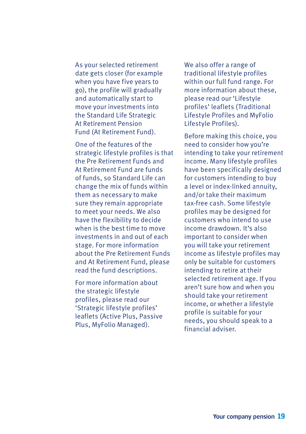As your selected retirement date gets closer (for example when you have five years to go), the profile will gradually and automatically start to move your investments into the Standard Life Strategic At Retirement Pension Fund (At Retirement Fund).

One of the features of the strategic lifestyle profiles is that the Pre Retirement Funds and At Retirement Fund are funds of funds, so Standard Life can change the mix of funds within them as necessary to make sure they remain appropriate to meet your needs. We also have the flexibility to decide when is the best time to move investments in and out of each stage. For more information about the Pre Retirement Funds and At Retirement Fund, please read the fund descriptions.

For more information about the strategic lifestyle profiles, please read our 'Strategic lifestyle profiles' leaflets (Active Plus, Passive Plus, MyFolio Managed).

We also offer a range of traditional lifestyle profiles within our full fund range. For more information about these, please read our 'Lifestyle profiles' leaflets (Traditional Lifestyle Profiles and MyFolio Lifestyle Profiles).

Before making this choice, you need to consider how you're intending to take your retirement income. Many lifestyle profiles have been specifically designed for customers intending to buy a level or index-linked annuity, and/or take their maximum tax‑free cash. Some lifestyle profiles may be designed for customers who intend to use income drawdown. It's also important to consider when you will take your retirement income as lifestyle profiles may only be suitable for customers intending to retire at their selected retirement age. If you aren't sure how and when you should take your retirement income, or whether a lifestyle profile is suitable for your needs, you should speak to a financial adviser.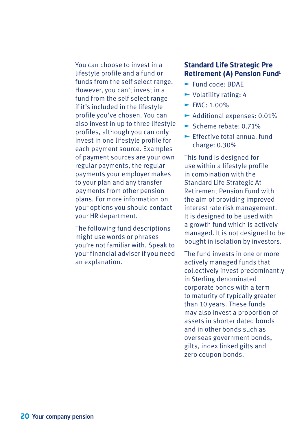You can choose to invest in a lifestyle profile and a fund or funds from the self select range. However, you can't invest in a fund from the self select range if it's included in the lifestyle profile you've chosen. You can also invest in up to three lifestyle profiles, although you can only invest in one lifestyle profile for each payment source. Examples of payment sources are your own regular payments, the regular payments your employer makes to your plan and any transfer payments from other pension plans. For more information on your options you should contact your HR department.

The following fund descriptions might use words or phrases you're not familiar with. Speak to your financial adviser if you need an explanation.

#### **Standard Life Strategic Pre Retirement (A) Pension Fund1**

- $\blacktriangleright$  Fund code: BDAF
- $\blacktriangleright$  Volatility rating: 4
- $\blacktriangleright$  FMC: 1.00%
- ► Additional expenses: 0.01%
- $\blacktriangleright$  Scheme rebate: 0.71%
- $\blacktriangleright$  Effective total annual fund charge: 0.30%

This fund is designed for use within a lifestyle profile in combination with the Standard Life Strategic At Retirement Pension Fund with the aim of providing improved interest rate risk management. It is designed to be used with a growth fund which is actively managed. It is not designed to be bought in isolation by investors.

The fund invests in one or more actively managed funds that collectively invest predominantly in Sterling denominated corporate bonds with a term to maturity of typically greater than 10 years. These funds may also invest a proportion of assets in shorter dated bonds and in other bonds such as overseas government bonds, gilts, index linked gilts and zero coupon bonds.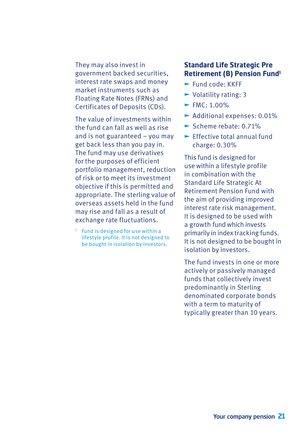They may also invest in government backed securities, interest rate swaps and money market instruments such as Floating Rate Notes (FRNs) and Certificates of Deposits (CDs).

The value of investments within the fund can fall as well as rise and is not guaranteed – you may get back less than you pay in. The fund may use derivatives for the purposes of efficient portfolio management, reduction of risk or to meet its investment objective if this is permitted and appropriate. The sterling value of overseas assets held in the fund may rise and fall as a result of exchange rate fluctuations.

<sup>1</sup> Fund is designed for use within a lifestyle profile. It is not designed to be bought in isolation by investors.

#### **Standard Life Strategic Pre Retirement (B) Pension Fund1**

- $\blacktriangleright$  Fund code: KKFF
- $\blacktriangleright$  Volatility rating: 3
- $\blacktriangleright$  FMC: 1.00%
- ► Additional expenses: 0.01%
- $\blacktriangleright$  Scheme rebate: 0.71%
- $\blacktriangleright$  Effective total annual fund charge: 0.30%

This fund is designed for use within a lifestyle profile in combination with the Standard Life Strategic At Retirement Pension Fund with the aim of providing improved interest rate risk management. It is designed to be used with a growth fund which invests primarily in index tracking funds. It is not designed to be bought in isolation by investors.

The fund invests in one or more actively or passively managed funds that collectively invest predominantly in Sterling denominated corporate bonds with a term to maturity of typically greater than 10 years.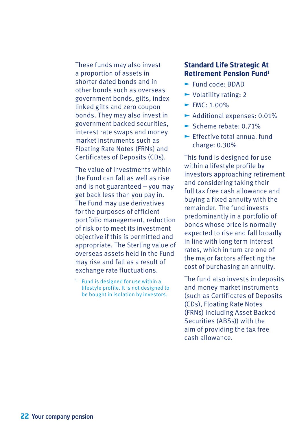These funds may also invest a proportion of assets in shorter dated bonds and in other bonds such as overseas government bonds, gilts, index linked gilts and zero coupon bonds. They may also invest in government backed securities, interest rate swaps and money market instruments such as Floating Rate Notes (FRNs) and Certificates of Deposits (CDs).

The value of investments within the Fund can fall as well as rise and is not guaranteed – you may get back less than you pay in. The Fund may use derivatives for the purposes of efficient portfolio management, reduction of risk or to meet its investment objective if this is permitted and appropriate. The Sterling value of overseas assets held in the Fund may rise and fall as a result of exchange rate fluctuations.

<sup>1</sup> Fund is designed for use within a lifestyle profile. It is not designed to be bought in isolation by investors.

#### **Standard Life Strategic At Retirement Pension Fund1**

- ► Fund code: BDAD
- $\blacktriangleright$  Volatility rating: 2
- $\blacktriangleright$  FMC: 1.00%
- ► Additional expenses: 0.01%
- $\blacktriangleright$  Scheme rebate: 0.71%
- $\blacktriangleright$  Effective total annual fund charge: 0.30%

This fund is designed for use within a lifestyle profile by investors approaching retirement and considering taking their full tax free cash allowance and buying a fixed annuity with the remainder. The fund invests predominantly in a portfolio of bonds whose price is normally expected to rise and fall broadly in line with long term interest rates, which in turn are one of the major factors affecting the cost of purchasing an annuity.

The fund also invests in deposits and money market instruments (such as Certificates of Deposits (CDs), Floating Rate Notes (FRNs) including Asset Backed Securities (ABSs)) with the aim of providing the tax free cash allowance.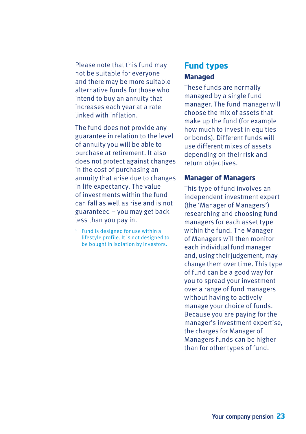Please note that this fund may not be suitable for everyone and there may be more suitable alternative funds for those who intend to buy an annuity that increases each year at a rate linked with inflation.

The fund does not provide any guarantee in relation to the level of annuity you will be able to purchase at retirement. It also does not protect against changes in the cost of purchasing an annuity that arise due to changes in life expectancy. The value of investments within the fund can fall as well as rise and is not guaranteed – you may get back less than you pay in.

<sup>1</sup> Fund is designed for use within a lifestyle profile. It is not designed to be bought in isolation by investors.

### **Fund types Managed**

These funds are normally managed by a single fund manager. The fund manager will choose the mix of assets that make up the fund (for example how much to invest in equities or bonds). Different funds will use different mixes of assets depending on their risk and return objectives.

#### **Manager of Managers**

This type of fund involves an independent investment expert (the 'Manager of Managers') researching and choosing fund managers for each asset type within the fund. The Manager of Managers will then monitor each individual fund manager and, using their judgement, may change them over time. This type of fund can be a good way for you to spread your investment over a range of fund managers without having to actively manage your choice of funds. Because you are paying for the manager's investment expertise, the charges for Manager of Managers funds can be higher than for other types of fund.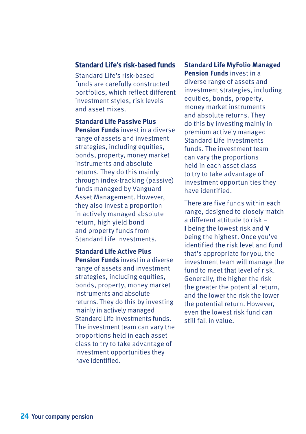#### **Standard Life's risk‑based funds**

Standard Life's risk-based funds are carefully constructed portfolios, which reflect different investment styles, risk levels and asset mixes.

**Standard Life Passive Plus Pension Funds** invest in a diverse range of assets and investment strategies, including equities, bonds, property, money market instruments and absolute returns. They do this mainly through index‑tracking (passive) funds managed by Vanguard Asset Management. However, they also invest a proportion in actively managed absolute return, high yield bond and property funds from Standard Life Investments.

**Standard Life Active Plus Pension Funds** invest in a diverse range of assets and investment strategies, including equities, bonds, property, money market instruments and absolute returns. They do this by investing mainly in actively managed Standard Life Investments funds. The investment team can vary the proportions held in each asset class to try to take advantage of investment opportunities they have identified.

#### **Standard Life MyFolio Managed Pension Funds** invest in a diverse range of assets and investment strategies, including equities, bonds, property, money market instruments and absolute returns. They do this by investing mainly in premium actively managed Standard Life Investments funds. The investment team can vary the proportions held in each asset class to try to take advantage of investment opportunities they have identified.

There are five funds within each range, designed to closely match a different attitude to risk – **I** being the lowest risk and **V** being the highest. Once you've identified the risk level and fund that's appropriate for you, the investment team will manage the fund to meet that level of risk. Generally, the higher the risk the greater the potential return, and the lower the risk the lower the potential return. However, even the lowest risk fund can still fall in value.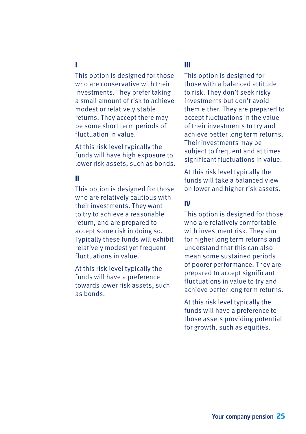#### **I**

This option is designed for those who are conservative with their investments. They prefer taking a small amount of risk to achieve modest or relatively stable returns. They accept there may be some short term periods of fluctuation in value.

At this risk level typically the funds will have high exposure to lower risk assets, such as bonds.

#### **II**

This option is designed for those who are relatively cautious with their investments. They want to try to achieve a reasonable return, and are prepared to accept some risk in doing so. Typically these funds will exhibit relatively modest yet frequent fluctuations in value.

At this risk level typically the funds will have a preference towards lower risk assets, such as bonds.

#### **III**

This option is designed for those with a balanced attitude to risk. They don't seek risky investments but don't avoid them either. They are prepared to accept fluctuations in the value of their investments to try and achieve better long term returns. Their investments may be subject to frequent and at times significant fluctuations in value.

At this risk level typically the funds will take a balanced view on lower and higher risk assets.

#### **IV**

This option is designed for those who are relatively comfortable with investment risk. They aim for higher long term returns and understand that this can also mean some sustained periods of poorer performance. They are prepared to accept significant fluctuations in value to try and achieve better long term returns.

At this risk level typically the funds will have a preference to those assets providing potential for growth, such as equities.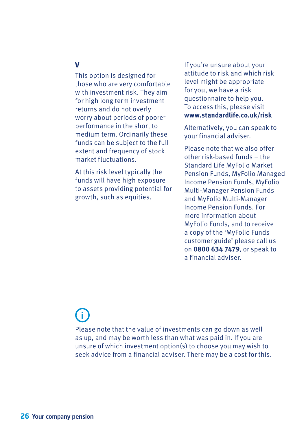#### **V**

This option is designed for those who are very comfortable with investment risk. They aim for high long term investment returns and do not overly worry about periods of poorer performance in the short to medium term. Ordinarily these funds can be subject to the full extent and frequency of stock market fluctuations.

At this risk level typically the funds will have high exposure to assets providing potential for growth, such as equities.

If you're unsure about your attitude to risk and which risk level might be appropriate for you, we have a risk questionnaire to help you. To access this, please visit **www.standardlife.co.uk/risk**

Alternatively, you can speak to your financial adviser.

Please note that we also offer other risk‑based funds – the Standard Life MyFolio Market Pension Funds, MyFolio Managed Income Pension Funds, MyFolio Multi‑Manager Pension Funds and MyFolio Multi‑Manager Income Pension Funds. For more information about MyFolio Funds, and to receive a copy of the 'MyFolio Funds customer guide' please call us on **0800 634 7479**, or speak to a financial adviser.

## **i**

Please note that the value of investments can go down as well as up, and may be worth less than what was paid in. If you are unsure of which investment option(s) to choose you may wish to seek advice from a financial adviser. There may be a cost for this.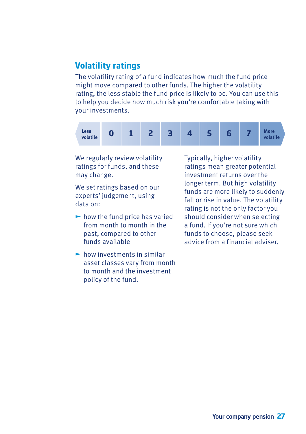## **Volatility ratings**

The volatility rating of a fund indicates how much the fund price might move compared to other funds. The higher the volatility rating, the less stable the fund price is likely to be. You can use this to help you decide how much risk you're comfortable taking with your investments.



We regularly review volatility ratings for funds, and these may change.

We set ratings based on our experts' judgement, using data on:

- $\blacktriangleright$  how the fund price has varied from month to month in the past, compared to other funds available
- $\blacktriangleright$  how investments in similar asset classes vary from month to month and the investment policy of the fund.

Typically, higher volatility ratings mean greater potential investment returns over the longer term. But high volatility funds are more likely to suddenly fall or rise in value. The volatility rating is not the only factor you should consider when selecting a fund. If you're not sure which funds to choose, please seek advice from a financial adviser.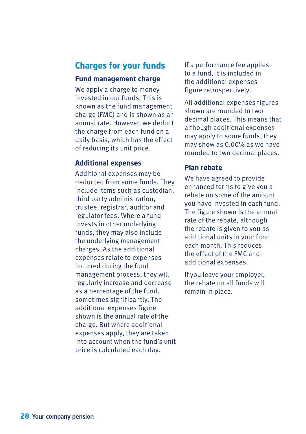### **Charges for your funds**

#### **Fund management charge**

We apply a charge to money invested in our funds. This is known as the fund management charge (FMC) and is shown as an annual rate. However, we deduct the charge from each fund on a daily basis, which has the effect of reducing its unit price.

#### **Additional expenses**

Additional expenses may be deducted from some funds. They include items such as custodian, third party administration, trustee, registrar, auditor and regulator fees. Where a fund invests in other underlying funds, they may also include the underlying management charges. As the additional expenses relate to expenses incurred during the fund management process, they will regularly increase and decrease as a percentage of the fund, sometimes significantly. The additional expenses figure shown is the annual rate of the charge. But where additional expenses apply, they are taken into account when the fund's unit price is calculated each day.

If a performance fee applies to a fund, it is included in the additional expenses figure retrospectively.

All additional expenses figures shown are rounded to two decimal places. This means that although additional expenses may apply to some funds, they may show as 0.00% as we have rounded to two decimal places.

#### **Plan rebate**

We have agreed to provide enhanced terms to give you a rebate on some of the amount you have invested in each fund. The figure shown is the annual rate of the rebate, although the rebate is given to you as additional units in your fund each month. This reduces the effect of the FMC and additional expenses.

If you leave your employer, the rebate on all funds will remain in place.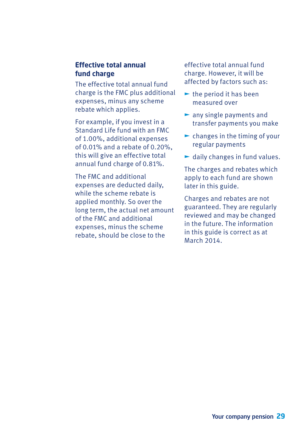#### **Effective total annual fund charge**

The effective total annual fund charge is the FMC plus additional expenses, minus any scheme rebate which applies.

For example, if you invest in a Standard Life fund with an FMC of 1.00%, additional expenses of 0.01% and a rebate of 0.20%, this will give an effective total annual fund charge of 0.81%.

The FMC and additional expenses are deducted daily, while the scheme rebate is applied monthly. So over the long term, the actual net amount of the FMC and additional expenses, minus the scheme rebate, should be close to the

effective total annual fund charge. However, it will be affected by factors such as:

- $\blacktriangleright$  the period it has been measured over
- $\blacktriangleright$  any single payments and transfer payments you make
- $\blacktriangleright$  changes in the timing of your regular payments
- $\blacktriangleright$  daily changes in fund values.

The charges and rebates which apply to each fund are shown later in this guide.

Charges and rebates are not guaranteed. They are regularly reviewed and may be changed in the future. The information in this guide is correct as at March 2014.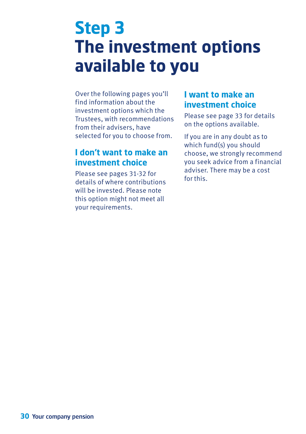## **Step 3 The investment options available to you**

Over the following pages you'll find information about the investment options which the Trustees, with recommendations from their advisers, have selected for you to choose from.

## **I don't want to make an investment choice**

Please see pages 31-32 for details of where contributions will be invested. Please note this option might not meet all your requirements.

### **I want to make an investment choice**

Please see page 33 for details on the options available.

If you are in any doubt as to which fund(s) you should choose, we strongly recommend you seek advice from a financial adviser. There may be a cost for this.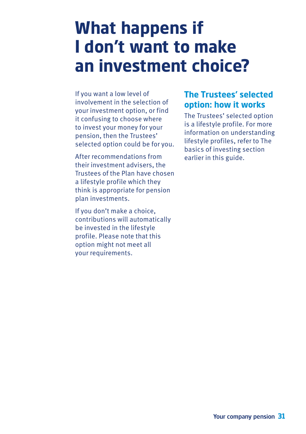## **What happens if I don't want to make an investment choice?**

If you want a low level of involvement in the selection of your investment option, or find it confusing to choose where to invest your money for your pension, then the Trustees' selected option could be for you.

After recommendations from their investment advisers, the Trustees of the Plan have chosen a lifestyle profile which they think is appropriate for pension plan investments.

If you don't make a choice, contributions will automatically be invested in the lifestyle profile. Please note that this option might not meet all your requirements.

## **The Trustees' selected option: how it works**

The Trustees' selected option is a lifestyle profile. For more information on understanding lifestyle profiles, refer to The basics of investing section earlier in this guide.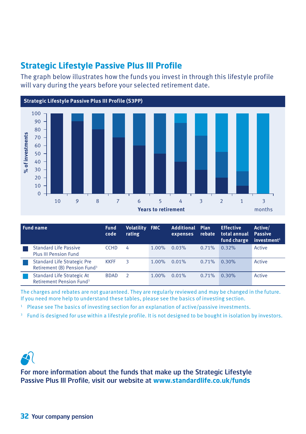## **Strategic Lifestyle Passive Plus III Profile**

The graph below illustrates how the funds you invest in through this lifestyle profile will vary during the years before your selected retirement date.



| Fund name |                                                                                | <b>Fund</b><br>code | <b>Volatility</b><br>rating | <b>FMC</b> | Additional<br>expenses | Plan<br>rebate | <b>Effective</b><br>total annual<br>fund charge | Active/<br><b>Passive</b><br>inverse |
|-----------|--------------------------------------------------------------------------------|---------------------|-----------------------------|------------|------------------------|----------------|-------------------------------------------------|--------------------------------------|
|           | <b>Standard Life Passive</b><br><b>Plus III Pension Fund</b>                   | <b>CCHD</b>         | 4                           | 1.00%      | 0.03%                  | 0.71%          | 0.32%                                           | Active                               |
|           | <b>Standard Life Strategic Pre</b><br>Retirement (B) Pension Fund <sup>3</sup> | <b>KKFF</b>         | 3                           | 1.00%      | 0.01%                  | 0.71%          | 0.30%                                           | Active                               |
|           | Standard Life Strategic At<br>Retirement Pension Fund <sup>3</sup>             | <b>BDAD</b>         | $\mathcal{D}$               | 1.00%      | 0.01%                  | 0.71%          | 0.30%                                           | Active                               |

The charges and rebates are not guaranteed. They are regularly reviewed and may be changed in the future. If you need more help to understand these tables, please see the basics of investing section.

- $^{\rm 1}$  Please see The basics of investing section for an explanation of active/passive investments.
- 3 Fund is designed for use within a lifestyle profile. It is not designed to be bought in isolation by investors.



For more information about the funds that make up the Strategic Lifestyle Passive Plus III Profile, visit our website at **www.standardlife.co.uk/funds**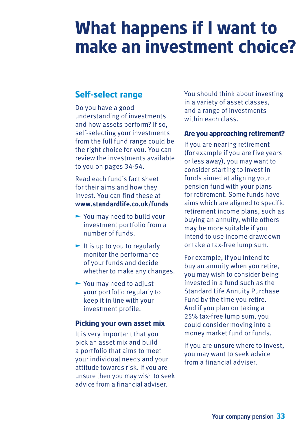## **What happens if I want to make an investment choice?**

## **Self-select range**

Do you have a good understanding of investments and how assets perform? If so, self-selecting your investments from the full fund range could be the right choice for you. You can review the investments available to you on pages 34-54.

Read each fund's fact sheet for their aims and how they invest. You can find these at **www.standardlife.co.uk/funds**

- $\blacktriangleright$  You may need to build your investment portfolio from a number of funds.
- $\blacktriangleright$  It is up to you to regularly monitor the performance of your funds and decide whether to make any changes.
- $\blacktriangleright$  You may need to adjust your portfolio regularly to keep it in line with your investment profile.

#### **Picking your own asset mix**

It is very important that you pick an asset mix and build a portfolio that aims to meet your individual needs and your attitude towards risk. If you are unsure then you may wish to seek advice from a financial adviser.

You should think about investing in a variety of asset classes, and a range of investments within each class.

#### **Are you approaching retirement?**

If you are nearing retirement (for example if you are five years or less away), you may want to consider starting to invest in funds aimed at aligning your pension fund with your plans for retirement. Some funds have aims which are aligned to specific retirement income plans, such as buying an annuity, while others may be more suitable if you intend to use income drawdown or take a tax‑free lump sum.

For example, if you intend to buy an annuity when you retire, you may wish to consider being invested in a fund such as the Standard Life Annuity Purchase Fund by the time you retire. And if you plan on taking a 25% tax‑free lump sum, you could consider moving into a money market fund or funds.

If you are unsure where to invest, you may want to seek advice from a financial adviser.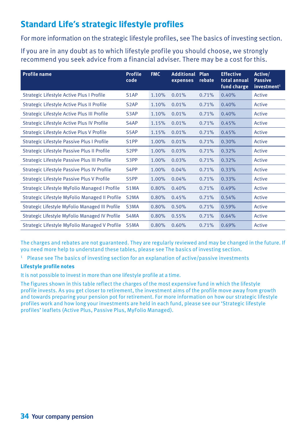## **Standard Life's strategic lifestyle profiles**

For more information on the strategic lifestyle profiles, see The basics of investing section.

If you are in any doubt as to which lifestyle profile you should choose, we strongly recommend you seek advice from a financial adviser. There may be a cost for this.

| <b>Profile name</b>                             | <b>Profile</b><br>code | <b>FMC</b> | <b>Additional</b><br>expenses | Plan<br>rebate | <b>Effective</b><br>total annual<br>fund charge | Active/<br><b>Passive</b><br>investment <sup>1</sup> |
|-------------------------------------------------|------------------------|------------|-------------------------------|----------------|-------------------------------------------------|------------------------------------------------------|
| Strategic Lifestyle Active Plus I Profile       | S <sub>1</sub> AP      | 1.10%      | 0.01%                         | 0.71%          | 0.40%                                           | Active                                               |
| Strategic Lifestyle Active Plus II Profile      | S <sub>2</sub> AP      | 1.10%      | 0.01%                         | 0.71%          | 0.40%                                           | Active                                               |
| Strategic Lifestyle Active Plus III Profile     | S <sub>3</sub> AP      | 1.10%      | 0.01%                         | 0.71%          | 0.40%                                           | Active                                               |
| Strategic Lifestyle Active Plus IV Profile      | S <sub>4</sub> AP      | 1.15%      | 0.01%                         | 0.71%          | 0.45%                                           | Active                                               |
| Strategic Lifestyle Active Plus V Profile       | S <sub>5</sub> AP      | 1.15%      | 0.01%                         | 0.71%          | 0.45%                                           | Active                                               |
| Strategic Lifestyle Passive Plus I Profile      | S <sub>1</sub> PP      | 1.00%      | 0.01%                         | 0.71%          | 0.30%                                           | Active                                               |
| Strategic Lifestyle Passive Plus II Profile     | S <sub>2</sub> PP      | 1.00%      | 0.03%                         | 0.71%          | 0.32%                                           | Active                                               |
| Strategic Lifestyle Passive Plus III Profile    | S3PP                   | 1.00%      | 0.03%                         | 0.71%          | 0.32%                                           | Active                                               |
| Strategic Lifestyle Passive Plus IV Profile     | S <sub>4</sub> PP      | 1.00%      | 0.04%                         | 0.71%          | 0.33%                                           | Active                                               |
| Strategic Lifestyle Passive Plus V Profile      | S5PP                   | 1.00%      | 0.04%                         | 0.71%          | 0.33%                                           | Active                                               |
| Strategic Lifestyle MyFolio Managed I Profile   | S <sub>1</sub> MA      | 0.80%      | 0.40%                         | 0.71%          | 0.49%                                           | Active                                               |
| Strategic Lifestyle MyFolio Managed II Profile  | S <sub>2</sub> MA      | 0.80%      | 0.45%                         | 0.71%          | 0.54%                                           | Active                                               |
| Strategic Lifestyle MyFolio Managed III Profile | S <sub>3</sub> MA      | 0.80%      | 0.50%                         | 0.71%          | 0.59%                                           | Active                                               |
| Strategic Lifestyle MyFolio Managed IV Profile  | S <sub>4</sub> MA      | 0.80%      | 0.55%                         | 0.71%          | 0.64%                                           | Active                                               |
| Strategic Lifestyle MyFolio Managed V Profile   | S5MA                   | 0.80%      | 0.60%                         | 0.71%          | 0.69%                                           | Active                                               |

The charges and rebates are not guaranteed. They are regularly reviewed and may be changed in the future. If you need more help to understand these tables, please see The basics of investing section.

<sup>1</sup> Please see The basics of investing section for an explanation of active/passive investments

#### **Lifestyle profile notes**

It is not possible to invest in more than one lifestyle profile at a time.

The figures shown in this table reflect the charges of the most expensive fund in which the lifestyle profile invests. As you get closer to retirement, the investment aims of the profile move away from growth and towards preparing your pension pot for retirement. For more information on how our strategic lifestyle profiles work and how long your investments are held in each fund, please see our 'Strategic lifestyle profiles' leaflets (Active Plus, Passive Plus, MyFolio Managed).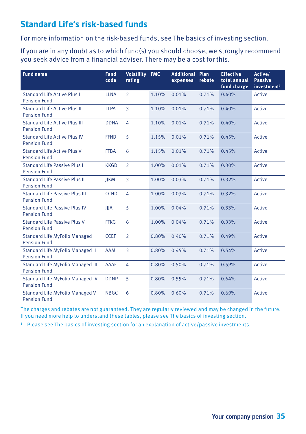## **Standard Life's risk-based funds**

For more information on the risk-based funds, see The basics of investing section.

If you are in any doubt as to which fund(s) you should choose, we strongly recommend you seek advice from a financial adviser. There may be a cost for this.

| <b>Fund name</b>                                                | <b>Fund</b><br>code | <b>Volatility</b><br>rating | <b>FMC</b> | <b>Additional Plan</b><br>expenses | rebate | <b>Effective</b><br>total annual<br>fund charge | Active/<br><b>Passive</b><br>investment <sup>1</sup> |
|-----------------------------------------------------------------|---------------------|-----------------------------|------------|------------------------------------|--------|-------------------------------------------------|------------------------------------------------------|
| <b>Standard Life Active Plus I</b><br><b>Pension Fund</b>       | <b>LLNA</b>         | $\overline{2}$              | 1.10%      | 0.01%                              | 0.71%  | 0.40%                                           | Active                                               |
| <b>Standard Life Active Plus II</b><br><b>Pension Fund</b>      | <b>LLPA</b>         | 3                           | 1.10%      | 0.01%                              | 0.71%  | 0.40%                                           | Active                                               |
| <b>Standard Life Active Plus III</b><br><b>Pension Fund</b>     | <b>DDNA</b>         | 4                           | 1.10%      | 0.01%                              | 0.71%  | 0.40%                                           | Active                                               |
| <b>Standard Life Active Plus IV</b><br><b>Pension Fund</b>      | <b>FFND</b>         | 5                           | 1.15%      | 0.01%                              | 0.71%  | 0.45%                                           | Active                                               |
| <b>Standard Life Active Plus V</b><br><b>Pension Fund</b>       | <b>FFBA</b>         | 6                           | 1.15%      | 0.01%                              | 0.71%  | 0.45%                                           | Active                                               |
| Standard Life Passive Plus L<br><b>Pension Fund</b>             | <b>KKGD</b>         | $\overline{2}$              | 1.00%      | 0.01%                              | 0.71%  | 0.30%                                           | Active                                               |
| <b>Standard Life Passive Plus II</b><br><b>Pension Fund</b>     | <b>JJKM</b>         | 3                           | 1.00%      | 0.03%                              | 0.71%  | 0.32%                                           | Active                                               |
| <b>Standard Life Passive Plus III</b><br><b>Pension Fund</b>    | <b>CCHD</b>         | 4                           | 1.00%      | 0.03%                              | 0.71%  | 0.32%                                           | Active                                               |
| Standard Life Passive Plus IV<br><b>Pension Fund</b>            | <b>JJJA</b>         | 5                           | 1.00%      | 0.04%                              | 0.71%  | 0.33%                                           | Active                                               |
| Standard Life Passive Plus V<br><b>Pension Fund</b>             | <b>FFKG</b>         | 6                           | 1.00%      | 0.04%                              | 0.71%  | 0.33%                                           | Active                                               |
| <b>Standard Life MyFolio Managed I</b><br><b>Pension Fund</b>   | <b>CCEF</b>         | $\overline{2}$              | 0.80%      | 0.40%                              | 0.71%  | 0.49%                                           | Active                                               |
| <b>Standard Life MyFolio Managed II</b><br><b>Pension Fund</b>  | <b>AAMI</b>         | 3                           | 0.80%      | 0.45%                              | 0.71%  | 0.54%                                           | Active                                               |
| <b>Standard Life MyFolio Managed III</b><br><b>Pension Fund</b> | <b>AAAF</b>         | 4                           | 0.80%      | 0.50%                              | 0.71%  | 0.59%                                           | Active                                               |
| Standard Life MyFolio Managed IV<br><b>Pension Fund</b>         | <b>DDNP</b>         | 5                           | 0.80%      | 0.55%                              | 0.71%  | 0.64%                                           | Active                                               |
| Standard Life MyFolio Managed V<br><b>Pension Fund</b>          | <b>NBGC</b>         | 6                           | 0.80%      | 0.60%                              | 0.71%  | 0.69%                                           | Active                                               |

The charges and rebates are not guaranteed. They are regularly reviewed and may be changed in the future. If you need more help to understand these tables, please see The basics of investing section.

<sup>1</sup> Please see The basics of investing section for an explanation of active/passive investments.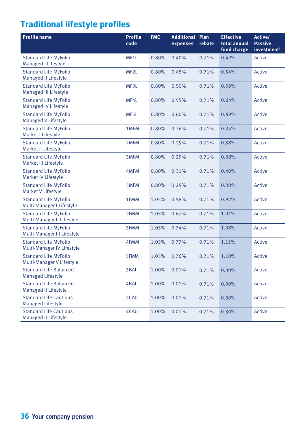## **Traditional lifestyle profiles**

| <b>Profile name</b>                                          | <b>Profile</b><br>code | <b>FMC</b> | <b>Additional Plan</b><br>expenses | rebate | <b>Effective</b><br>total annual<br>fund charge | Active/<br><b>Passive</b><br>investment <sup>1</sup> |
|--------------------------------------------------------------|------------------------|------------|------------------------------------|--------|-------------------------------------------------|------------------------------------------------------|
| <b>Standard Life MyFolio</b><br><b>Managed I Lifestyle</b>   | MF1L                   | 0.80%      | 0.40%                              | 0.71%  | 0.49%                                           | Active                                               |
| <b>Standard Life MyFolio</b><br><b>Managed II Lifestyle</b>  | MF <sub>2</sub> L      | 0.80%      | 0.45%                              | 0.71%  | 0.54%                                           | Active                                               |
| <b>Standard Life MyFolio</b><br><b>Managed III Lifestyle</b> | MF3L                   | 0.80%      | 0.50%                              | 0.71%  | 0.59%                                           | Active                                               |
| <b>Standard Life MyFolio</b><br><b>Managed IV Lifestyle</b>  | MF4L                   | 0.80%      | 0.55%                              | 0.71%  | 0.64%                                           | Active                                               |
| <b>Standard Life MyFolio</b><br><b>Managed V Lifestyle</b>   | MF5L                   | 0.80%      | 0.60%                              | 0.71%  | 0.69%                                           | Active                                               |
| <b>Standard Life MyFolio</b><br><b>Market I Lifestyle</b>    | 1MFM                   | 0.80%      | 0.26%                              | 0.71%  | 0.35%                                           | Active                                               |
| <b>Standard Life MyFolio</b><br><b>Market II Lifestyle</b>   | 2MFM                   | 0.80%      | 0.29%                              | 0.71%  | 0.38%                                           | Active                                               |
| <b>Standard Life MyFolio</b><br>Market III Lifestyle         | 3MFM                   | 0.80%      | 0.29%                              | 0.71%  | 0.38%                                           | Active                                               |
| <b>Standard Life MyFolio</b><br><b>Market IV Lifestyle</b>   | 4MFM                   | 0.80%      | 0.31%                              | 0.71%  | 0.40%                                           | Active                                               |
| <b>Standard Life MyFolio</b><br><b>Market V Lifestyle</b>    | 5MFM                   | 0.80%      | 0.29%                              | 0.71%  | 0.38%                                           | Active                                               |
| <b>Standard Life MyFolio</b><br>Multi-Manager I Lifestyle    | 1FMM                   | 1.05%      | 0.58%                              | 0.71%  | 0.92%                                           | Active                                               |
| <b>Standard Life MyFolio</b><br>Multi-Manager II Lifestyle   | 2FMM                   | 1.05%      | 0.67%                              | 0.71%  | 1.01%                                           | Active                                               |
| <b>Standard Life MyFolio</b><br>Multi-Manager III Lifestyle  | 3FMM                   | 1.05%      | 0.74%                              | 0.71%  | 1.08%                                           | Active                                               |
| <b>Standard Life MyFolio</b><br>Multi-Manager IV Lifestyle   | 4FMM                   | 1.05%      | 0.77%                              | 0.71%  | 1.11%                                           | Active                                               |
| <b>Standard Life MyFolio</b><br>Multi-Manager V Lifestyle    | 5FMM                   | 1.05%      | 0.76%                              | 0.71%  | 1.10%                                           | Active                                               |
| <b>Standard Life Balanced</b><br><b>Managed Lifestyle</b>    | 3BAL                   | 1.00%      | 0.01%                              | 0.71%  | 0.30%                                           | Active                                               |
| <b>Standard Life Balanced</b><br><b>Managed II Lifestyle</b> | 4BAL                   | 1.00%      | 0.01%                              | 0.71%  | 0.30%                                           | Active                                               |
| <b>Standard Life Cautious</b><br><b>Managed Lifestyle</b>    | 3CAU                   | 1.00%      | 0.01%                              | 0.71%  | 0.30%                                           | Active                                               |
| <b>Standard Life Cautious</b><br><b>Managed II Lifestyle</b> | 4CAU                   | 1.00%      | 0.01%                              | 0.71%  | 0.30%                                           | Active                                               |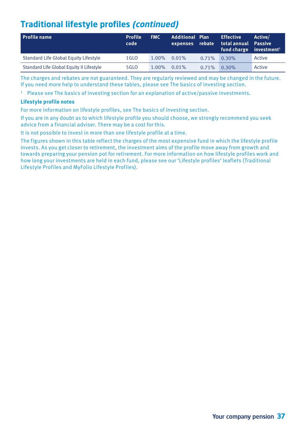## **Traditional lifestyle profiles** *(continued)*

| Profile name                             | <b>Profile</b><br>code | <b>FMC</b>  | <b>Additional Plan</b><br>expenses rebate |       | <b>Effective</b><br>total annual Passive<br>fund charge investment <sup>1</sup> | Active/ |
|------------------------------------------|------------------------|-------------|-------------------------------------------|-------|---------------------------------------------------------------------------------|---------|
| Standard Life Global Equity Lifestyle    | 1GLO                   | 1.00% 0.01% |                                           | 0.71% | 0.30%                                                                           | Active  |
| Standard Life Global Equity II Lifestyle | 5GLO                   | $1.00\%$    | $0.01\%$                                  | 0.71% | 0.30%                                                                           | Active  |

The charges and rebates are not guaranteed. They are regularly reviewed and may be changed in the future. If you need more help to understand these tables, please see The basics of investing section.

 $1$  Please see The basics of investing section for an explanation of active/passive investments.

#### **Lifestyle profile notes**

For more information on lifestyle profiles, see The basics of investing section.

If you are in any doubt as to which lifestyle profile you should choose, we strongly recommend you seek advice from a financial adviser. There may be a cost for this.

It is not possible to invest in more than one lifestyle profile at a time.

The figures shown in this table reflect the charges of the most expensive fund in which the lifestyle profile invests. As you get closer to retirement, the investment aims of the profile move away from growth and towards preparing your pension pot for retirement. For more information on how lifestyle profiles work and how long your investments are held in each fund, please see our 'Lifestyle profiles' leaflets (Traditional Lifestyle Profiles and MyFolio Lifestyle Profiles).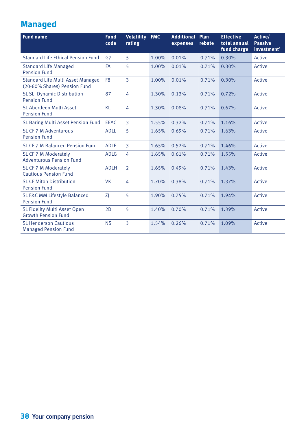## **Managed**

| <b>Fund name</b>                                                         | <b>Fund</b><br>code | <b>Volatility</b><br>rating | <b>FMC</b> | <b>Additional</b><br>expenses | Plan<br>rebate | <b>Effective</b><br>total annual<br>fund charge | Active/<br><b>Passive</b><br>investment <sup>1</sup> |
|--------------------------------------------------------------------------|---------------------|-----------------------------|------------|-------------------------------|----------------|-------------------------------------------------|------------------------------------------------------|
| Standard Life Ethical Pension Fund                                       | G7                  | 5                           | 1.00%      | 0.01%                         | 0.71%          | 0.30%                                           | Active                                               |
| <b>Standard Life Managed</b><br><b>Pension Fund</b>                      | FA                  | 5                           | 1.00%      | 0.01%                         | 0.71%          | 0.30%                                           | Active                                               |
| <b>Standard Life Multi Asset Managed</b><br>(20-60% Shares) Pension Fund | F <sub>8</sub>      | 3                           | 1.00%      | 0.01%                         | 0.71%          | 0.30%                                           | Active                                               |
| <b>SL SLI Dynamic Distribution</b><br><b>Pension Fund</b>                | 87                  | 4                           | 1.30%      | 0.13%                         | 0.71%          | 0.72%                                           | Active                                               |
| SL Aberdeen Multi Asset<br><b>Pension Fund</b>                           | KL                  | 4                           | 1.30%      | 0.08%                         | 0.71%          | 0.67%                                           | Active                                               |
| SL Baring Multi Asset Pension Fund                                       | <b>EEAC</b>         | 3                           | 1.55%      | 0.32%                         | 0.71%          | 1.16%                                           | Active                                               |
| <b>SL CF 7IM Adventurous</b><br><b>Pension Fund</b>                      | <b>ADLL</b>         | 5                           | 1.65%      | 0.69%                         | 0.71%          | 1.63%                                           | Active                                               |
| SL CF 7IM Balanced Pension Fund                                          | <b>ADLF</b>         | 3                           | 1.65%      | 0.52%                         | 0.71%          | 1.46%                                           | Active                                               |
| <b>SL CF 7IM Moderately</b><br><b>Adventurous Pension Fund</b>           | <b>ADLG</b>         | 4                           | 1.65%      | 0.61%                         | 0.71%          | 1.55%                                           | Active                                               |
| <b>SL CF 7IM Moderately</b><br><b>Cautious Pension Fund</b>              | <b>ADLH</b>         | $\overline{2}$              | 1.65%      | 0.49%                         | 0.71%          | 1.43%                                           | Active                                               |
| <b>SL CF Miton Distribution</b><br><b>Pension Fund</b>                   | <b>VK</b>           | 4                           | 1.70%      | 0.38%                         | 0.71%          | 1.37%                                           | Active                                               |
| <b>SL F&amp;C MM Lifestyle Balanced</b><br><b>Pension Fund</b>           | ZI                  | 5                           | 1.90%      | 0.75%                         | 0.71%          | 1.94%                                           | Active                                               |
| SL Fidelity Multi Asset Open<br><b>Growth Pension Fund</b>               | 2D                  | 5                           | 1.40%      | 0.70%                         | 0.71%          | 1.39%                                           | Active                                               |
| <b>SL Henderson Cautious</b><br><b>Managed Pension Fund</b>              | <b>NS</b>           | 3                           | 1.54%      | 0.26%                         | 0.71%          | 1.09%                                           | <b>Active</b>                                        |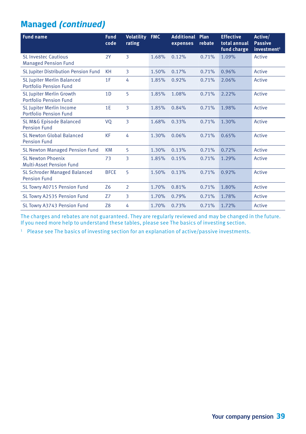## **Managed** *(continued)*

| <b>Fund name</b>                                            | <b>Fund</b><br>code | <b>Volatility</b><br>rating | <b>FMC</b> | <b>Additional</b><br>expenses | Plan<br>rebate | <b>Effective</b><br>total annual<br>fund charge | Active/<br><b>Passive</b><br>investment <sup>1</sup> |
|-------------------------------------------------------------|---------------------|-----------------------------|------------|-------------------------------|----------------|-------------------------------------------------|------------------------------------------------------|
| <b>SL Invested Cautious</b><br><b>Managed Pension Fund</b>  | 2Y                  | 3                           | 1.68%      | 0.12%                         | 0.71%          | 1.09%                                           | Active                                               |
| SL Jupiter Distribution Pension Fund                        | <b>KH</b>           | 3                           | 1.50%      | 0.17%                         | 0.71%          | 0.96%                                           | Active                                               |
| <b>SL Jupiter Merlin Balanced</b><br>Portfolio Pension Fund | 1F                  | 4                           | 1.85%      | 0.92%                         | 0.71%          | 2.06%                                           | Active                                               |
| SL Jupiter Merlin Growth<br>Portfolio Pension Fund          | 1 <sub>D</sub>      | 5                           | 1.85%      | 1.08%                         | 0.71%          | 2.22%                                           | Active                                               |
| SL Jupiter Merlin Income<br>Portfolio Pension Fund          | 1E                  | 3                           | 1.85%      | 0.84%                         | 0.71%          | 1.98%                                           | Active                                               |
| SL M&G Episode Balanced<br><b>Pension Fund</b>              | VQ                  | 3                           | 1.68%      | 0.33%                         | 0.71%          | 1.30%                                           | Active                                               |
| SL Newton Global Balanced<br><b>Pension Fund</b>            | <b>KF</b>           | 4                           | 1.30%      | 0.06%                         | 0.71%          | 0.65%                                           | Active                                               |
| SL Newton Managed Pension Fund                              | <b>KM</b>           | 5                           | 1.30%      | 0.13%                         | 0.71%          | 0.72%                                           | Active                                               |
| <b>SL Newton Phoenix</b><br><b>Multi-Asset Pension Fund</b> | 73                  | 3                           | 1.85%      | 0.15%                         | 0.71%          | 1.29%                                           | Active                                               |
| <b>SL Schroder Managed Balanced</b><br><b>Pension Fund</b>  | <b>BFCE</b>         | 5                           | 1.50%      | 0.13%                         | 0.71%          | 0.92%                                           | Active                                               |
| SL Towry A0715 Pension Fund                                 | Z6                  | $\overline{2}$              | 1.70%      | 0.81%                         | 0.71%          | 1.80%                                           | Active                                               |
| SL Towry A2535 Pension Fund                                 | Z7                  | 3                           | 1.70%      | 0.79%                         | 0.71%          | 1.78%                                           | Active                                               |
| SL Towry A3743 Pension Fund                                 | <b>Z8</b>           | 4                           | 1.70%      | 0.73%                         | 0.71%          | 1.72%                                           | Active                                               |

The charges and rebates are not guaranteed. They are regularly reviewed and may be changed in the future. If you need more help to understand these tables, please see The basics of investing section.

<sup>1</sup> Please see The basics of investing section for an explanation of active/passive investments.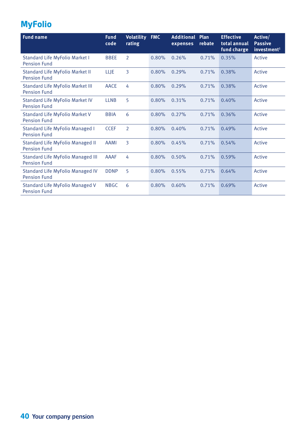## **MyFolio**

| <b>Fund name</b>                                                | <b>Fund</b><br>code | <b>Volatility</b><br>rating | <b>FMC</b> | <b>Additional Plan</b><br>expenses | rebate | <b>Effective</b><br>total annual<br>fund charge | Active/<br><b>Passive</b><br>investment <sup>1</sup> |
|-----------------------------------------------------------------|---------------------|-----------------------------|------------|------------------------------------|--------|-------------------------------------------------|------------------------------------------------------|
| Standard Life MyFolio Market I<br><b>Pension Fund</b>           | <b>BBEE</b>         | $\overline{2}$              | 0.80%      | 0.26%                              | 0.71%  | 0.35%                                           | Active                                               |
| <b>Standard Life MyFolio Market II</b><br><b>Pension Fund</b>   | LLJE                | 3                           | 0.80%      | 0.29%                              | 0.71%  | 0.38%                                           | Active                                               |
| <b>Standard Life MyFolio Market III</b><br><b>Pension Fund</b>  | <b>AACE</b>         | 4                           | 0.80%      | 0.29%                              | 0.71%  | 0.38%                                           | Active                                               |
| <b>Standard Life MyFolio Market IV</b><br><b>Pension Fund</b>   | <b>LLNB</b>         | 5                           | 0.80%      | 0.31%                              | 0.71%  | 0.40%                                           | Active                                               |
| <b>Standard Life MyFolio Market V</b><br><b>Pension Fund</b>    | <b>BBIA</b>         | 6                           | 0.80%      | 0.27%                              | 0.71%  | 0.36%                                           | Active                                               |
| <b>Standard Life MyFolio Managed I</b><br><b>Pension Fund</b>   | <b>CCEF</b>         | $\overline{2}$              | 0.80%      | 0.40%                              | 0.71%  | 0.49%                                           | Active                                               |
| Standard Life MyFolio Managed II<br><b>Pension Fund</b>         | <b>AAMI</b>         | 3                           | 0.80%      | 0.45%                              | 0.71%  | 0.54%                                           | Active                                               |
| <b>Standard Life MyFolio Managed III</b><br><b>Pension Fund</b> | <b>AAAF</b>         | 4                           | 0.80%      | 0.50%                              | 0.71%  | 0.59%                                           | Active                                               |
| <b>Standard Life MyFolio Managed IV</b><br><b>Pension Fund</b>  | <b>DDNP</b>         | 5                           | 0.80%      | 0.55%                              | 0.71%  | 0.64%                                           | Active                                               |
| <b>Standard Life MyFolio Managed V</b><br><b>Pension Fund</b>   | <b>NBGC</b>         | 6                           | 0.80%      | 0.60%                              | 0.71%  | 0.69%                                           | Active                                               |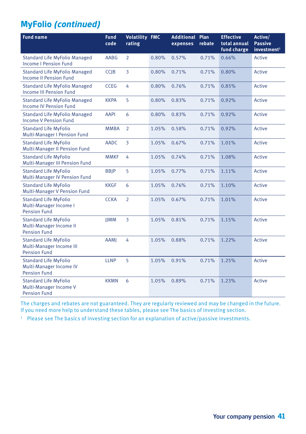## **MyFolio** *(continued)*

| <b>Fund name</b>                                                                | <b>Fund</b><br>code | <b>Volatility FMC</b><br>rating |       | <b>Additional Plan</b><br>expenses | rebate | <b>Effective</b><br>total annual<br>fund charge | Active/<br><b>Passive</b><br>investment <sup>1</sup> |
|---------------------------------------------------------------------------------|---------------------|---------------------------------|-------|------------------------------------|--------|-------------------------------------------------|------------------------------------------------------|
| <b>Standard Life MyFolio Managed</b><br><b>Income I Pension Fund</b>            | AABG                | $\overline{2}$                  | 0.80% | 0.57%                              | 0.71%  | 0.66%                                           | Active                                               |
| <b>Standard Life MyFolio Managed</b><br><b>Income II Pension Fund</b>           | <b>CCJB</b>         | 3                               | 0.80% | 0.71%                              | 0.71%  | 0.80%                                           | Active                                               |
| <b>Standard Life MyFolio Managed</b><br><b>Income III Pension Fund</b>          | <b>CCEG</b>         | 4                               | 0.80% | 0.76%                              | 0.71%  | 0.85%                                           | Active                                               |
| <b>Standard Life MyFolio Managed</b><br><b>Income IV Pension Fund</b>           | <b>KKPA</b>         | 5                               | 0.80% | 0.83%                              | 0.71%  | 0.92%                                           | Active                                               |
| <b>Standard Life MyFolio Managed</b><br><b>Income V Pension Fund</b>            | <b>AAPI</b>         | 6                               | 0.80% | 0.83%                              | 0.71%  | 0.92%                                           | Active                                               |
| <b>Standard Life MyFolio</b><br>Multi-Manager I Pension Fund                    | <b>MMBA</b>         | $\overline{2}$                  | 1.05% | 0.58%                              | 0.71%  | 0.92%                                           | Active                                               |
| <b>Standard Life MyFolio</b><br>Multi-Manager II Pension Fund                   | <b>AADC</b>         | $\overline{3}$                  | 1.05% | 0.67%                              | 0.71%  | 1.01%                                           | Active                                               |
| <b>Standard Life MyFolio</b><br>Multi-Manager III Pension Fund                  | <b>MMKF</b>         | 4                               | 1.05% | 0.74%                              | 0.71%  | 1.08%                                           | Active                                               |
| <b>Standard Life MyFolio</b><br>Multi-Manager IV Pension Fund                   | <b>BBJP</b>         | 5                               | 1.05% | 0.77%                              | 0.71%  | 1.11%                                           | Active                                               |
| <b>Standard Life MyFolio</b><br>Multi-Manager V Pension Fund                    | <b>KKGF</b>         | 6                               | 1.05% | 0.76%                              | 0.71%  | 1.10%                                           | Active                                               |
| <b>Standard Life MyFolio</b><br>Multi-Manager Income I<br><b>Pension Fund</b>   | <b>CCKA</b>         | $\overline{2}$                  | 1.05% | 0.67%                              | 0.71%  | 1.01%                                           | Active                                               |
| <b>Standard Life MyFolio</b><br>Multi-Manager Income II<br><b>Pension Fund</b>  | <b>JJMM</b>         | 3                               | 1.05% | 0.81%                              | 0.71%  | 1.15%                                           | Active                                               |
| <b>Standard Life MyFolio</b><br>Multi-Manager Income III<br><b>Pension Fund</b> | <b>AAMJ</b>         | $\overline{4}$                  | 1.05% | 0.88%                              | 0.71%  | 1.22%                                           | Active                                               |
| <b>Standard Life MyFolio</b><br>Multi-Manager Income IV<br><b>Pension Fund</b>  | <b>LLNP</b>         | 5                               | 1.05% | 0.91%                              | 0.71%  | 1.25%                                           | Active                                               |
| <b>Standard Life MyFolio</b><br>Multi-Manager Income V<br><b>Pension Fund</b>   | <b>KKMN</b>         | 6                               | 1.05% | 0.89%                              | 0.71%  | 1.23%                                           | Active                                               |

The charges and rebates are not guaranteed. They are regularly reviewed and may be changed in the future. If you need more help to understand these tables, please see The basics of investing section.

<sup>1</sup> Please see The basics of investing section for an explanation of active/passive investments.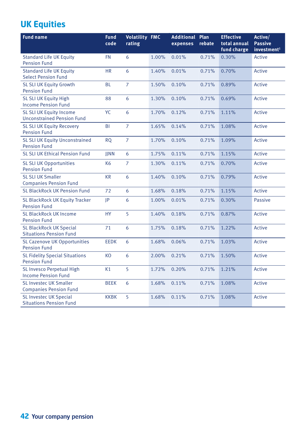## **UK Equities**

| <b>Fund name</b>                                                 | <b>Fund</b><br>code | <b>Volatility FMC</b><br>rating |       | <b>Additional Plan</b><br>expenses | rebate | <b>Effective</b><br>total annual<br>fund charge | Active/<br><b>Passive</b><br>investment <sup>1</sup> |
|------------------------------------------------------------------|---------------------|---------------------------------|-------|------------------------------------|--------|-------------------------------------------------|------------------------------------------------------|
| <b>Standard Life UK Equity</b><br><b>Pension Fund</b>            | <b>FN</b>           | 6                               | 1.00% | 0.01%                              | 0.71%  | 0.30%                                           | Active                                               |
| <b>Standard Life UK Equity</b><br><b>Select Pension Fund</b>     | <b>HR</b>           | 6                               | 1.40% | 0.01%                              | 0.71%  | 0.70%                                           | Active                                               |
| SL SLI UK Equity Growth<br><b>Pension Fund</b>                   | <b>BL</b>           | $\overline{7}$                  | 1.50% | 0.10%                              | 0.71%  | 0.89%                                           | Active                                               |
| <b>SL SLI UK Equity High</b><br><b>Income Pension Fund</b>       | 88                  | 6                               | 1.30% | 0.10%                              | 0.71%  | 0.69%                                           | Active                                               |
| SL SLI UK Equity Income<br><b>Unconstrained Pension Fund</b>     | <b>YC</b>           | 6                               | 1.70% | 0.12%                              | 0.71%  | 1.11%                                           | Active                                               |
| <b>SL SLI UK Equity Recovery</b><br><b>Pension Fund</b>          | BI                  | $\overline{7}$                  | 1.65% | 0.14%                              | 0.71%  | 1.08%                                           | Active                                               |
| <b>SL SLI UK Equity Unconstrained</b><br><b>Pension Fund</b>     | <b>RQ</b>           | $\overline{7}$                  | 1.70% | 0.10%                              | 0.71%  | 1.09%                                           | Active                                               |
| SL SLI UK Ethical Pension Fund                                   | <b>IINN</b>         | 6                               | 1.75% | 0.11%                              | 0.71%  | 1.15%                                           | Active                                               |
| <b>SL SLI UK Opportunities</b><br><b>Pension Fund</b>            | <b>K6</b>           | $\overline{7}$                  | 1.30% | 0.11%                              | 0.71%  | 0.70%                                           | Active                                               |
| <b>SL SLI UK Smaller</b><br><b>Companies Pension Fund</b>        | <b>KR</b>           | 6                               | 1.40% | 0.10%                              | 0.71%  | 0.79%                                           | Active                                               |
| <b>SL BlackRock UK Pension Fund</b>                              | 72                  | 6                               | 1.68% | 0.18%                              | 0.71%  | 1.15%                                           | Active                                               |
| SL BlackRock UK Equity Tracker<br><b>Pension Fund</b>            | IP                  | 6                               | 1.00% | 0.01%                              | 0.71%  | 0.30%                                           | <b>Passive</b>                                       |
| <b>SL BlackRock UK Income</b><br><b>Pension Fund</b>             | <b>HY</b>           | 5                               | 1.40% | 0.18%                              | 0.71%  | 0.87%                                           | Active                                               |
| <b>SL BlackRock UK Special</b><br><b>Situations Pension Fund</b> | 71                  | 6                               | 1.75% | 0.18%                              | 0.71%  | 1.22%                                           | <b>Active</b>                                        |
| <b>SL Cazenove UK Opportunities</b><br><b>Pension Fund</b>       | <b>EEDK</b>         | 6                               | 1.68% | 0.06%                              | 0.71%  | 1.03%                                           | Active                                               |
| <b>SL Fidelity Special Situations</b><br><b>Pension Fund</b>     | KO                  | 6                               | 2.00% | 0.21%                              | 0.71%  | 1.50%                                           | Active                                               |
| SL Invesco Perpetual High<br><b>Income Pension Fund</b>          | K1                  | 5                               | 1.72% | 0.20%                              | 0.71%  | 1.21%                                           | Active                                               |
| <b>SL Investec UK Smaller</b><br><b>Companies Pension Fund</b>   | <b>BEEK</b>         | 6                               | 1.68% | 0.11%                              | 0.71%  | 1.08%                                           | Active                                               |
| <b>SL Investec UK Special</b><br><b>Situations Pension Fund</b>  | <b>KKBK</b>         | 5                               | 1.68% | 0.11%                              | 0.71%  | 1.08%                                           | Active                                               |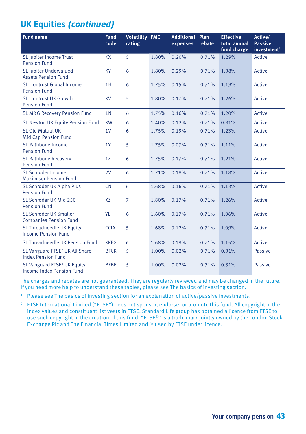## **UK Equities** *(continued)*

| <b>Fund name</b>                                                        | <b>Fund</b><br>code | <b>Volatility FMC</b><br>rating |       | <b>Additional Plan</b><br>expenses | rebate | <b>Effective</b><br>total annual<br>fund charge | Active/<br><b>Passive</b><br>investment <sup>1</sup> |
|-------------------------------------------------------------------------|---------------------|---------------------------------|-------|------------------------------------|--------|-------------------------------------------------|------------------------------------------------------|
| SL Jupiter Income Trust<br><b>Pension Fund</b>                          | <b>KX</b>           | 5                               | 1.80% | 0.20%                              | 0.71%  | 1.29%                                           | Active                                               |
| <b>SL Jupiter Undervalued</b><br><b>Assets Pension Fund</b>             | <b>KY</b>           | 6                               | 1.80% | 0.29%                              | 0.71%  | 1.38%                                           | Active                                               |
| SL Liontrust Global Income<br><b>Pension Fund</b>                       | 1H                  | 6                               | 1.75% | 0.15%                              | 0.71%  | 1.19%                                           | Active                                               |
| <b>SL Liontrust UK Growth</b><br><b>Pension Fund</b>                    | <b>KV</b>           | 5                               | 1.80% | 0.17%                              | 0.71%  | 1.26%                                           | Active                                               |
| <b>SL M&amp;G Recovery Pension Fund</b>                                 | 1 <sub>N</sub>      | 6                               | 1.75% | 0.16%                              | 0.71%  | 1.20%                                           | Active                                               |
| SL Newton UK Equity Pension Fund                                        | <b>KW</b>           | 6                               | 1.40% | 0.12%                              | 0.71%  | 0.81%                                           | Active                                               |
| SL Old Mutual UK<br><b>Mid Cap Pension Fund</b>                         | 1V                  | 6                               | 1.75% | 0.19%                              | 0.71%  | 1.23%                                           | Active                                               |
| SL Rathbone Income<br><b>Pension Fund</b>                               | <b>1Y</b>           | 5                               | 1.75% | 0.07%                              | 0.71%  | 1.11%                                           | Active                                               |
| <b>SL Rathbone Recovery</b><br><b>Pension Fund</b>                      | 1Z                  | 6                               | 1.75% | 0.17%                              | 0.71%  | 1.21%                                           | Active                                               |
| SL Schroder Income<br><b>Maximiser Pension Fund</b>                     | 2V                  | 6                               | 1.71% | 0.18%                              | 0.71%  | 1.18%                                           | Active                                               |
| SL Schroder UK Alpha Plus<br><b>Pension Fund</b>                        | <b>CN</b>           | 6                               | 1.68% | 0.16%                              | 0.71%  | 1.13%                                           | Active                                               |
| SL Schroder UK Mid 250<br><b>Pension Fund</b>                           | <b>KZ</b>           | $\overline{7}$                  | 1.80% | 0.17%                              | 0.71%  | 1.26%                                           | Active                                               |
| SL Schroder UK Smaller<br><b>Companies Pension Fund</b>                 | YL                  | 6                               | 1.60% | 0.17%                              | 0.71%  | 1.06%                                           | Active                                               |
| SL Threadneedle UK Equity<br><b>Income Pension Fund</b>                 | <b>CCIA</b>         | 5                               | 1.68% | 0.12%                              | 0.71%  | 1.09%                                           | Active                                               |
| SL Threadneedle UK Pension Fund                                         | <b>KKEG</b>         | 6                               | 1.68% | 0.18%                              | 0.71%  | 1.15%                                           | Active                                               |
| SL Vanguard FTSE <sup>2</sup> UK All Share<br><b>Index Pension Fund</b> | <b>BFCK</b>         | 5                               | 1.00% | 0.02%                              | 0.71%  | 0.31%                                           | <b>Passive</b>                                       |
| SL Vanguard FTSE <sup>2</sup> UK Equity<br>Income Index Pension Fund    | <b>BFBE</b>         | 5                               | 1.00% | 0.02%                              | 0.71%  | 0.31%                                           | <b>Passive</b>                                       |

The charges and rebates are not guaranteed. They are regularly reviewed and may be changed in the future. If you need more help to understand these tables, please see The basics of investing section.

<sup>1</sup> Please see The basics of investing section for an explanation of active/passive investments.

2 FTSE International Limited ("FTSE") does not sponsor, endorse, or promote this fund. All copyright in the index values and constituent list vests in FTSE. Standard Life group has obtained a licence from FTSE to use such copyright in the creation of this fund. "FTSE®" is a trade mark jointly owned by the London Stock Exchange Plc and The Financial Times Limited and is used by FTSE under licence.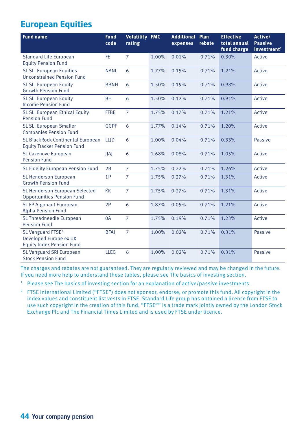## **European Equities**

| <b>Fund name</b>                                                                            | <b>Fund</b><br>code | <b>Volatility FMC</b><br>rating |       | <b>Additional</b><br>expenses | Plan<br>rebate | <b>Effective</b><br>total annual<br>fund charge | Active/<br><b>Passive</b><br>investment <sup>1</sup> |
|---------------------------------------------------------------------------------------------|---------------------|---------------------------------|-------|-------------------------------|----------------|-------------------------------------------------|------------------------------------------------------|
| <b>Standard Life European</b><br><b>Equity Pension Fund</b>                                 | FE                  | $\overline{7}$                  | 1.00% | 0.01%                         | 0.71%          | 0.30%                                           | Active                                               |
| <b>SL SLI European Equities</b><br><b>Unconstrained Pension Fund</b>                        | <b>NANL</b>         | 6                               | 1.77% | 0.15%                         | 0.71%          | 1.21%                                           | Active                                               |
| <b>SL SLI European Equity</b><br><b>Growth Pension Fund</b>                                 | <b>BBNH</b>         | 6                               | 1.50% | 0.19%                         | 0.71%          | 0.98%                                           | Active                                               |
| <b>SL SLI European Equity</b><br><b>Income Pension Fund</b>                                 | <b>BH</b>           | 6                               | 1.50% | 0.12%                         | 0.71%          | 0.91%                                           | Active                                               |
| SL SLI European Ethical Equity<br><b>Pension Fund</b>                                       | <b>FFBE</b>         | $\overline{7}$                  | 1.75% | 0.17%                         | 0.71%          | 1.21%                                           | Active                                               |
| <b>SL SLI European Smaller</b><br><b>Companies Pension Fund</b>                             | <b>GGPF</b>         | 6                               | 1.77% | 0.14%                         | 0.71%          | 1.20%                                           | Active                                               |
| <b>SL BlackRock Continental European</b><br><b>Equity Tracker Pension Fund</b>              | <b>LLJD</b>         | 6                               | 1.00% | 0.04%                         | 0.71%          | 0.33%                                           | Passive                                              |
| <b>SL Cazenove European</b><br><b>Pension Fund</b>                                          | <b>JJAJ</b>         | 6                               | 1.68% | 0.08%                         | 0.71%          | 1.05%                                           | Active                                               |
| SL Fidelity European Pension Fund                                                           | 2B                  | $\overline{7}$                  | 1.75% | 0.22%                         | 0.71%          | 1.26%                                           | Active                                               |
| <b>SL Henderson European</b><br><b>Growth Pension Fund</b>                                  | 1P                  | $\overline{7}$                  | 1.75% | 0.27%                         | 0.71%          | 1.31%                                           | Active                                               |
| SL Henderson European Selected<br><b>Opportunities Pension Fund</b>                         | <b>KK</b>           | $\overline{7}$                  | 1.75% | 0.27%                         | 0.71%          | 1.31%                                           | Active                                               |
| SL FP Argonaut European<br><b>Alpha Pension Fund</b>                                        | 2P                  | 6                               | 1.87% | 0.05%                         | 0.71%          | 1.21%                                           | Active                                               |
| SL Threadneedle European<br><b>Pension Fund</b>                                             | 0A                  | $\overline{7}$                  | 1.75% | 0.19%                         | 0.71%          | 1.23%                                           | Active                                               |
| SL Vanguard FTSE <sup>2</sup><br>Developed Europe ex UK<br><b>Equity Index Pension Fund</b> | <b>BFAJ</b>         | $\overline{7}$                  | 1.00% | 0.02%                         | 0.71%          | 0.31%                                           | <b>Passive</b>                                       |
| SL Vanguard SRI European<br><b>Stock Pension Fund</b>                                       | <b>LLEG</b>         | 6                               | 1.00% | 0.02%                         | 0.71%          | 0.31%                                           | <b>Passive</b>                                       |

The charges and rebates are not guaranteed. They are regularly reviewed and may be changed in the future. If you need more help to understand these tables, please see The basics of investing section.

<sup>1</sup> Please see The basics of investing section for an explanation of active/passive investments.

2 FTSE International Limited ("FTSE") does not sponsor, endorse, or promote this fund. All copyright in the index values and constituent list vests in FTSE. Standard Life group has obtained a licence from FTSE to use such copyright in the creation of this fund. "FTSE®" is a trade mark jointly owned by the London Stock Exchange Plc and The Financial Times Limited and is used by FTSE under licence.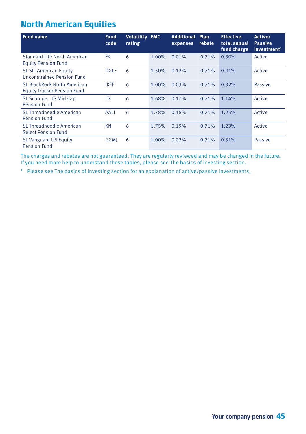## **North American Equities**

| <b>Fund name</b>                                                         | <b>Fund</b><br>code | <b>Volatility FMC</b><br>rating |       | <b>Additional</b><br>expenses | Plan<br>rebate | <b>Effective</b><br>total annual<br>fund charge | Active/<br><b>Passive</b><br>investment <sup>1</sup> |
|--------------------------------------------------------------------------|---------------------|---------------------------------|-------|-------------------------------|----------------|-------------------------------------------------|------------------------------------------------------|
| Standard Life North American<br><b>Equity Pension Fund</b>               | <b>FK</b>           | 6                               | 1.00% | 0.01%                         | 0.71%          | 0.30%                                           | Active                                               |
| <b>SL SLI American Equity</b><br><b>Unconstrained Pension Fund</b>       | <b>DGLF</b>         | 6                               | 1.50% | 0.12%                         | 0.71%          | 0.91%                                           | Active                                               |
| <b>SL BlackRock North American</b><br><b>Equity Tracker Pension Fund</b> | <b>IKFF</b>         | 6                               | 1.00% | 0.03%                         | 0.71%          | 0.32%                                           | <b>Passive</b>                                       |
| SL Schroder US Mid Cap<br><b>Pension Fund</b>                            | <b>CX</b>           | 6                               | 1.68% | 0.17%                         | 0.71%          | 1.14%                                           | Active                                               |
| SL Threadneedle American<br><b>Pension Fund</b>                          | AALJ                | 6                               | 1.78% | 0.18%                         | 0.71%          | 1.25%                                           | Active                                               |
| SL Threadneedle American<br><b>Select Pension Fund</b>                   | KN                  | 6                               | 1.75% | 0.19%                         | 0.71%          | 1.23%                                           | Active                                               |
| <b>SL Vanguard US Equity</b><br><b>Pension Fund</b>                      | <b>GGMI</b>         | 6                               | 1.00% | 0.02%                         | 0.71%          | 0.31%                                           | <b>Passive</b>                                       |

The charges and rebates are not guaranteed. They are regularly reviewed and may be changed in the future. If you need more help to understand these tables, please see The basics of investing section.

<sup>1</sup> Please see The basics of investing section for an explanation of active/passive investments.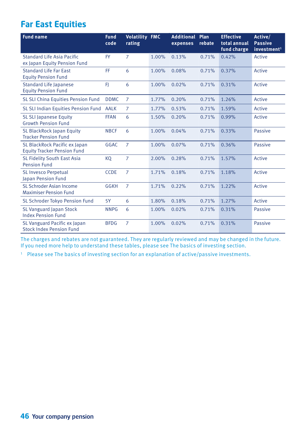## **Far East Equities**

| <b>Fund name</b>                                                    | <b>Fund</b><br>code | <b>Volatility FMC</b><br>rating |       | <b>Additional</b><br>expenses | Plan<br>rebate | <b>Effective</b><br>total annual<br>fund charge | Active/<br><b>Passive</b><br>investment <sup>1</sup> |
|---------------------------------------------------------------------|---------------------|---------------------------------|-------|-------------------------------|----------------|-------------------------------------------------|------------------------------------------------------|
| Standard Life Asia Pacific<br>ex Japan Equity Pension Fund          | <b>FY</b>           | 7                               | 1.00% | 0.13%                         | 0.71%          | 0.42%                                           | Active                                               |
| <b>Standard Life Far East</b><br><b>Equity Pension Fund</b>         | FF.                 | 6                               | 1.00% | 0.08%                         | 0.71%          | 0.37%                                           | Active                                               |
| <b>Standard Life Japanese</b><br><b>Equity Pension Fund</b>         | FJ                  | 6                               | 1.00% | 0.02%                         | 0.71%          | 0.31%                                           | Active                                               |
| SL SLI China Equities Pension Fund                                  | <b>DDMC</b>         | 7                               | 1.77% | 0.20%                         | 0.71%          | 1.26%                                           | Active                                               |
| SL SLI Indian Equities Pension Fund                                 | <b>AALK</b>         | $\overline{7}$                  | 1.77% | 0.53%                         | 0.71%          | 1.59%                                           | Active                                               |
| <b>SL SLI Japanese Equity</b><br><b>Growth Pension Fund</b>         | <b>FFAN</b>         | 6                               | 1.50% | 0.20%                         | 0.71%          | 0.99%                                           | Active                                               |
| <b>SL BlackRock Japan Equity</b><br><b>Tracker Pension Fund</b>     | <b>NBCF</b>         | 6                               | 1.00% | 0.04%                         | 0.71%          | 0.33%                                           | <b>Passive</b>                                       |
| SL BlackRock Pacific ex Japan<br><b>Equity Tracker Pension Fund</b> | <b>GGAC</b>         | $\overline{7}$                  | 1.00% | 0.07%                         | 0.71%          | 0.36%                                           | <b>Passive</b>                                       |
| <b>SL Fidelity South East Asia</b><br><b>Pension Fund</b>           | KQ                  | $\overline{7}$                  | 2.00% | 0.28%                         | 0.71%          | 1.57%                                           | Active                                               |
| <b>SL Invesco Perpetual</b><br>Japan Pension Fund                   | <b>CCDE</b>         | $\overline{7}$                  | 1.71% | 0.18%                         | 0.71%          | 1.18%                                           | Active                                               |
| SL Schroder Asian Income<br><b>Maximiser Pension Fund</b>           | <b>GGKH</b>         | $\overline{7}$                  | 1.71% | 0.22%                         | 0.71%          | 1.22%                                           | Active                                               |
| SL Schroder Tokyo Pension Fund                                      | 5Y                  | 6                               | 1.80% | 0.18%                         | 0.71%          | 1.27%                                           | Active                                               |
| <b>SL Vanguard Japan Stock</b><br><b>Index Pension Fund</b>         | <b>NNPG</b>         | 6                               | 1.00% | 0.02%                         | 0.71%          | 0.31%                                           | <b>Passive</b>                                       |
| SL Vanguard Pacific ex Japan<br><b>Stock Index Pension Fund</b>     | <b>BFDG</b>         | $\overline{7}$                  | 1.00% | 0.02%                         | 0.71%          | 0.31%                                           | <b>Passive</b>                                       |

The charges and rebates are not guaranteed. They are regularly reviewed and may be changed in the future. If you need more help to understand these tables, please see The basics of investing section.

<sup>1</sup> Please see The basics of investing section for an explanation of active/passive investments.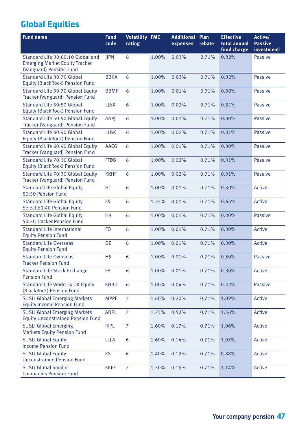## **Global Equities**

| <b>Fund name</b>                                                                                      | <b>Fund</b><br>code | <b>Volatility FMC</b><br>rating |       | <b>Additional Plan</b><br>expenses | rebate | <b>Effective</b><br>total annual<br>fund charge | Active/<br><b>Passive</b><br>investment <sup>1</sup> |
|-------------------------------------------------------------------------------------------------------|---------------------|---------------------------------|-------|------------------------------------|--------|-------------------------------------------------|------------------------------------------------------|
| Standard Life 30:60:10 Global and<br><b>Emerging Market Equity Tracker</b><br>(Vanguard) Pension Fund | <b>JJPN</b>         | 6                               | 1.00% | 0.03%                              | 0.71%  | 0.32%                                           | <b>Passive</b>                                       |
| Standard Life 30:70 Global<br>Equity (BlackRock) Pension Fund                                         | <b>BBKA</b>         | 6                               | 1.00% | 0.03%                              | 0.71%  | 0.32%                                           | <b>Passive</b>                                       |
| Standard Life 30:70 Global Equity<br>Tracker (Vanguard) Pension Fund                                  | <b>BBMP</b>         | 6                               | 1.00% | 0.01%                              | 0.71%  | 0.30%                                           | Passive                                              |
| Standard Life 50:50 Global<br>Equity (BlackRock) Pension Fund                                         | <b>LLEK</b>         | 6                               | 1.00% | 0.02%                              | 0.71%  | 0.31%                                           | Passive                                              |
| Standard Life 50:50 Global Equity<br>Tracker (Vanguard) Pension Fund                                  | AAPJ                | 6                               | 1.00% | 0.01%                              | 0.71%  | 0.30%                                           | Passive                                              |
| Standard Life 60:40 Global<br>Equity (BlackRock) Pension Fund                                         | <b>LLGK</b>         | 6                               | 1.00% | 0.02%                              | 0.71%  | 0.31%                                           | <b>Passive</b>                                       |
| Standard Life 60:40 Global Equity<br>Tracker (Vanguard) Pension Fund                                  | <b>AACG</b>         | 6                               | 1.00% | 0.01%                              | 0.71%  | 0.30%                                           | Passive                                              |
| Standard Life 70:30 Global<br>Equity (BlackRock) Pension Fund                                         | <b>FFDB</b>         | 6                               | 1.00% | 0.02%                              | 0.71%  | 0.31%                                           | Passive                                              |
| Standard Life 70:30 Global Equity<br>Tracker (Vanguard) Pension Fund                                  | <b>KKHF</b>         | 6                               | 1.00% | 0.02%                              | 0.71%  | 0.31%                                           | Passive                                              |
| <b>Standard Life Global Equity</b><br>50:50 Pension Fund                                              | HT                  | 6                               | 1.00% | 0.01%                              | 0.71%  | 0.30%                                           | Active                                               |
| <b>Standard Life Global Equity</b><br>Select 60:40 Pension Fund                                       | <b>FX</b>           | 6                               | 1.35% | 0.01%                              | 0.71%  | 0.65%                                           | Active                                               |
| <b>Standard Life Global Equity</b><br>50:50 Tracker Pension Fund                                      | H <sub>8</sub>      | 6                               | 1.00% | 0.01%                              | 0.71%  | 0.30%                                           | Passive                                              |
| <b>Standard Life International</b><br><b>Equity Pension Fund</b>                                      | <b>FO</b>           | 6                               | 1.00% | 0.01%                              | 0.71%  | 0.30%                                           | Active                                               |
| <b>Standard Life Overseas</b><br><b>Equity Pension Fund</b>                                           | GZ                  | 6                               | 1.00% | 0.01%                              | 0.71%  | 0.30%                                           | Active                                               |
| <b>Standard Life Overseas</b><br><b>Tracker Pension Fund</b>                                          | H <sub>5</sub>      | 6                               | 1.00% | 0.01%                              | 0.71%  | 0.30%                                           | <b>Passive</b>                                       |
| <b>Standard Life Stock Exchange</b><br><b>Pension Fund</b>                                            | <b>FB</b>           | 6                               | 1.00% | 0.01%                              | 0.71%  | 0.30%                                           | Active                                               |
| <b>Standard Life World Ex UK Equity</b><br>(BlackRock) Pension Fund                                   | <b>KNBD</b>         | 6                               | 1.00% | 0.04%                              | 0.71%  | 0.33%                                           | Passive                                              |
| <b>SL SLI Global Emerging Markets</b><br><b>Equity Income Pension Fund</b>                            | <b>MPPF</b>         | $\overline{7}$                  | 1.60% | 0.20%                              | 0.71%  | 1.09%                                           | Active                                               |
| <b>SL SLI Global Emerging Markets</b><br><b>Equity Unconstrained Pension Fund</b>                     | <b>ADPL</b>         | $\overline{7}$                  | 1.75% | 0.52%                              | 0.71%  | 1.56%                                           | Active                                               |
| <b>SL SLI Global Emerging</b><br><b>Markets Equity Pension Fund</b>                                   | <b>IKPL</b>         | $\overline{7}$                  | 1.60% | 0.17%                              | 0.71%  | 1.06%                                           | Active                                               |
| <b>SL SLI Global Equity</b><br><b>Income Pension Fund</b>                                             | <b>LLLA</b>         | 6                               | 1.60% | 0.14%                              | 0.71%  | 1.03%                                           | Active                                               |
| <b>SL SLI Global Equity</b><br><b>Unconstrained Pension Fund</b>                                      | <b>KS</b>           | 6                               | 1.40% | 0.19%                              | 0.71%  | 0.88%                                           | Active                                               |
| <b>SL SLI Global Smaller</b><br><b>Companies Pension Fund</b>                                         | <b>KKEF</b>         | $\overline{7}$                  | 1.70% | 0.15%                              | 0.71%  | 1.14%                                           | Active                                               |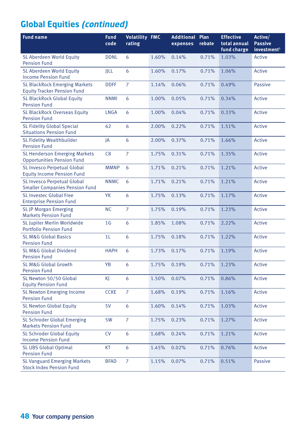## **Global Equities** *(continued)*

| <b>Fund name</b>                                                            | <b>Fund</b><br>code | <b>Volatility FMC</b><br>rating |       | <b>Additional Plan</b><br>expenses | rebate | <b>Effective</b><br>total annual<br>fund charge | Active/<br><b>Passive</b><br>investment <sup>1</sup> |
|-----------------------------------------------------------------------------|---------------------|---------------------------------|-------|------------------------------------|--------|-------------------------------------------------|------------------------------------------------------|
| <b>SL Aberdeen World Equity</b><br><b>Pension Fund</b>                      | <b>DDNL</b>         | 6                               | 1.60% | 0.14%                              | 0.71%  | 1.03%                                           | Active                                               |
| SL Aberdeen World Equity<br><b>Income Pension Fund</b>                      | JJLL                | 6                               | 1.60% | 0.17%                              | 0.71%  | 1.06%                                           | Active                                               |
| <b>SL BlackRock Emerging Markets</b><br><b>Equity Tracker Pension Fund</b>  | <b>DDFF</b>         | $\overline{7}$                  | 1.14% | 0.06%                              | 0.71%  | 0.49%                                           | <b>Passive</b>                                       |
| <b>SL BlackRock Global Equity</b><br><b>Pension Fund</b>                    | <b>NNMI</b>         | 6                               | 1.00% | 0.05%                              | 0.71%  | 0.34%                                           | Active                                               |
| <b>SL BlackRock Overseas Equity</b><br><b>Pension Fund</b>                  | <b>LNGA</b>         | 6                               | 1.00% | 0.04%                              | 0.71%  | 0.33%                                           | Active                                               |
| <b>SL Fidelity Global Special</b><br><b>Situations Pension Fund</b>         | 62                  | 6                               | 2.00% | 0.22%                              | 0.71%  | 1.51%                                           | Active                                               |
| <b>SL Fidelity Wealthbuilder</b><br><b>Pension Fund</b>                     | JA                  | 6                               | 2.00% | 0.37%                              | 0.71%  | 1.66%                                           | Active                                               |
| <b>SL Henderson Emerging Markets</b><br><b>Opportunities Pension Fund</b>   | C8                  | $\overline{7}$                  | 1.75% | 0.31%                              | 0.71%  | 1.35%                                           | Active                                               |
| <b>SL Invesco Perpetual Global</b><br><b>Equity Income Pension Fund</b>     | <b>MMNP</b>         | 6                               | 1.71% | 0.21%                              | 0.71%  | 1.21%                                           | Active                                               |
| <b>SL Invesco Perpetual Global</b><br><b>Smaller Companies Pension Fund</b> | <b>NNMC</b>         | 6                               | 1.71% | 0.21%                              | 0.71%  | 1.21%                                           | Active                                               |
| <b>SL Investec Global Free</b><br><b>Enterprise Pension Fund</b>            | YK                  | 6                               | 1.75% | 0.13%                              | 0.71%  | 1.17%                                           | Active                                               |
| <b>SL JP Morgan Emerging</b><br><b>Markets Pension Fund</b>                 | <b>NC</b>           | $\overline{7}$                  | 1.75% | 0.19%                              | 0.71%  | 1.23%                                           | Active                                               |
| SL Jupiter Merlin Worldwide<br><b>Portfolio Pension Fund</b>                | 1 <sub>G</sub>      | 6                               | 1.85% | 1.08%                              | 0.71%  | 2.22%                                           | Active                                               |
| <b>SL M&amp;G Global Basics</b><br><b>Pension Fund</b>                      | 1L                  | 6                               | 1.75% | 0.18%                              | 0.71%  | 1.22%                                           | Active                                               |
| <b>SL M&amp;G Global Dividend</b><br><b>Pension Fund</b>                    | <b>HAPH</b>         | 6                               | 1.73% | 0.17%                              | 0.71%  | 1.19%                                           | Active                                               |
| <b>SL M&amp;G Global Growth</b><br><b>Pension Fund</b>                      | YB                  | 6                               | 1.75% | 0.19%                              | 0.71%  | 1.23%                                           | Active                                               |
| SL Newton 50/50 Global<br><b>Equity Pension Fund</b>                        | KI                  | 6                               | 1.50% | 0.07%                              | 0.71%  | 0.86%                                           | Active                                               |
| <b>SL Newton Emerging Income</b><br><b>Pension Fund</b>                     | <b>CCKE</b>         | $\overline{7}$                  | 1.68% | 0.19%                              | 0.71%  | 1.16%                                           | Active                                               |
| <b>SL Newton Global Equity</b><br><b>Pension Fund</b>                       | 5V                  | 6                               | 1.60% | 0.14%                              | 0.71%  | 1.03%                                           | Active                                               |
| <b>SL Schroder Global Emerging</b><br><b>Markets Pension Fund</b>           | 5W                  | $\overline{7}$                  | 1.75% | 0.23%                              | 0.71%  | 1.27%                                           | Active                                               |
| <b>SL Schroder Global Equity</b><br><b>Income Pension Fund</b>              | CV                  | 6                               | 1.68% | 0.24%                              | 0.71%  | 1.21%                                           | Active                                               |
| <b>SL UBS Global Optimal</b><br><b>Pension Fund</b>                         | КT                  | 6                               | 1.45% | 0.02%                              | 0.71%  | 0.76%                                           | Active                                               |
| <b>SL Vanguard Emerging Markets</b><br><b>Stock Index Pension Fund</b>      | <b>BFAD</b>         | $\overline{7}$                  | 1.15% | 0.07%                              | 0.71%  | 0.51%                                           | <b>Passive</b>                                       |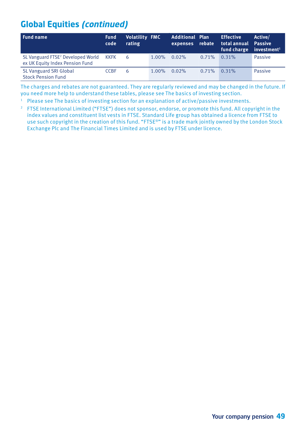## **Global Equities** *(continued)*

| Fund name                                                                               | <b>Fund</b><br>code | <b>Volatility FMC</b><br>rating |          | <b>Additional Plan</b><br>expenses | rebate | <b>Effective</b><br>total annual Passive<br>fund charge $investment1$ | Active/ |
|-----------------------------------------------------------------------------------------|---------------------|---------------------------------|----------|------------------------------------|--------|-----------------------------------------------------------------------|---------|
| SL Vanguard FTSE <sup>2</sup> Developed World KKFK 6<br>ex UK Equity Index Pension Fund |                     |                                 | $1.00\%$ | $0.02\%$                           | 0.71%  | $0.31\%$                                                              | Passive |
| <b>SL Vanguard SRI Global</b><br><b>Stock Pension Fund</b>                              | <b>CCBF</b>         | 6                               | $1.00\%$ | $0.02\%$                           | 0.71%  | $0.31\%$                                                              | Passive |

The charges and rebates are not guaranteed. They are regularly reviewed and may be changed in the future. If you need more help to understand these tables, please see The basics of investing section.

- 1 Please see The basics of investing section for an explanation of active/passive investments.
- 2 FTSE International Limited ("FTSE") does not sponsor, endorse, or promote this fund. All copyright in the index values and constituent list vests in FTSE. Standard Life group has obtained a licence from FTSE to use such copyright in the creation of this fund. "FTSE®" is a trade mark jointly owned by the London Stock Exchange Plc and The Financial Times Limited and is used by FTSE under licence.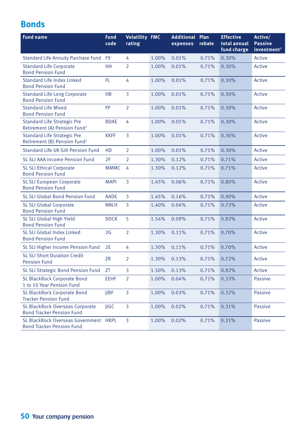## **Bonds**

| <b>Fund name</b>                                                               | <b>Fund</b><br>code | <b>Volatility FMC</b><br>rating |       | <b>Additional Plan</b><br>expenses | rebate | <b>Effective</b><br>total annual<br>fund charge | Active/<br><b>Passive</b><br>investment <sup>1</sup> |
|--------------------------------------------------------------------------------|---------------------|---------------------------------|-------|------------------------------------|--------|-------------------------------------------------|------------------------------------------------------|
| <b>Standard Life Annuity Purchase Fund</b>                                     | F <sub>9</sub>      | 4                               | 1.00% | 0.01%                              | 0.71%  | 0.30%                                           | Active                                               |
| <b>Standard Life Corporate</b><br><b>Bond Pension Fund</b>                     | <b>HH</b>           | $\overline{2}$                  | 1.00% | 0.01%                              | 0.71%  | 0.30%                                           | Active                                               |
| Standard Life Index Linked<br><b>Bond Pension Fund</b>                         | FL.                 | 4                               | 1.00% | 0.01%                              | 0.71%  | 0.30%                                           | Active                                               |
| <b>Standard Life Long Corporate</b><br><b>Bond Pension Fund</b>                | <b>HB</b>           | 3                               | 1.00% | 0.01%                              | 0.71%  | 0.30%                                           | Active                                               |
| <b>Standard Life Mixed</b><br><b>Bond Pension Fund</b>                         | FP                  | $\overline{2}$                  | 1.00% | 0.01%                              | 0.71%  | 0.30%                                           | Active                                               |
| <b>Standard Life Strategic Pre</b><br>Retirement (A) Pension Fund <sup>3</sup> | <b>BDAE</b>         | 4                               | 1.00% | 0.01%                              | 0.71%  | 0.30%                                           | Active                                               |
| <b>Standard Life Strategic Pre</b><br>Retirement (B) Pension Fund <sup>3</sup> | <b>KKFF</b>         | 3                               | 1.00% | 0.01%                              | 0.71%  | 0.30%                                           | Active                                               |
| Standard Life UK Gilt Pension Fund                                             | <b>HD</b>           | $\overline{2}$                  | 1.00% | 0.01%                              | 0.71%  | 0.30%                                           | Active                                               |
| <b>SL SLI AAA Income Pension Fund</b>                                          | 2F                  | $\overline{2}$                  | 1.30% | 0.12%                              | 0.71%  | 0.71%                                           | Active                                               |
| <b>SL SLI Ethical Corporate</b><br><b>Bond Pension Fund</b>                    | <b>MMMC</b>         | 4                               | 1.30% | 0.12%                              | 0.71%  | 0.71%                                           | Active                                               |
| <b>SL SLI European Corporate</b><br><b>Bond Pension Fund</b>                   | <b>MAPI</b>         | 3                               | 1.45% | 0.06%                              | 0.71%  | 0.80%                                           | Active                                               |
| SL SLI Global Bond Pension Fund                                                | AADE                | 3                               | 1.45% | 0.16%                              | 0.71%  | 0.90%                                           | Active                                               |
| <b>SL SLI Global Corporate</b><br><b>Bond Pension Fund</b>                     | <b>NNLH</b>         | 3                               | 1.40% | 0.04%                              | 0.71%  | 0.73%                                           | Active                                               |
| SL SLI Global High Yield<br><b>Bond Pension Fund</b>                           | <b>DDCK</b>         | 5                               | 1.54% | 0.09%                              | 0.71%  | 0.92%                                           | Active                                               |
| SL SLI Global Index Linked<br><b>Bond Pension Fund</b>                         | 2G                  | $\overline{2}$                  | 1.30% | 0.11%                              | 0.71%  | 0.70%                                           | Active                                               |
| SL SLI Higher Income Pension Fund                                              | 2E                  | 4                               | 1.30% | 0.11%                              | 0.71%  | 0.70%                                           | Active                                               |
| <b>SL SLI Short Duration Credit</b><br><b>Pension Fund</b>                     | <b>ZR</b>           | $\overline{2}$                  | 1.30% | 0.13%                              | 0.71%  | 0.72%                                           | Active                                               |
| SL SLI Strategic Bond Pension Fund                                             | <b>ZT</b>           | 3                               | 1.50% | 0.13%                              | 0.71%  | 0.92%                                           | Active                                               |
| <b>SL BlackRock Corporate Bond</b><br>1 to 10 Year Pension Fund                | <b>EEHF</b>         | $\overline{2}$                  | 1.00% | 0.04%                              | 0.71%  | 0.33%                                           | <b>Passive</b>                                       |
| <b>SL BlackRock Corporate Bond</b><br><b>Tracker Pension Fund</b>              | <b>IIBF</b>         | 3                               | 1.00% | 0.03%                              | 0.71%  | 0.32%                                           | Passive                                              |
| SL BlackRock Overseas Corporate<br><b>Bond Tracker Pension Fund</b>            | <b>IIGC</b>         | 3                               | 1.00% | 0.02%                              | 0.71%  | 0.31%                                           | <b>Passive</b>                                       |
| SL BlackRock Overseas Government HKPL<br><b>Bond Tracker Pension Fund</b>      |                     | 3                               | 1.00% | 0.02%                              | 0.71%  | 0.31%                                           | <b>Passive</b>                                       |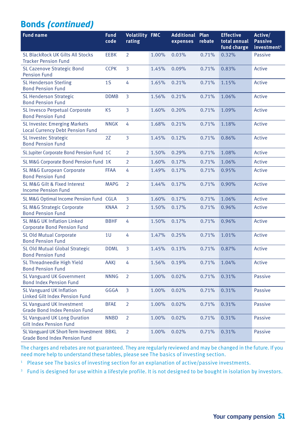## **Bonds** *(continued)*

| <b>Fund name</b>                                                                  | <b>Fund</b><br>code | <b>Volatility FMC</b><br>rating |       | <b>Additional Plan</b><br>expenses | rebate | <b>Effective</b><br>total annual<br>fund charge | Active/<br><b>Passive</b><br>investment <sup>1</sup> |
|-----------------------------------------------------------------------------------|---------------------|---------------------------------|-------|------------------------------------|--------|-------------------------------------------------|------------------------------------------------------|
| <b>SL BlackRock UK Gilts All Stocks</b><br><b>Tracker Pension Fund</b>            | <b>EEBK</b>         | $\overline{2}$                  | 1.00% | 0.03%                              | 0.71%  | 0.32%                                           | <b>Passive</b>                                       |
| <b>SL Cazenove Strategic Bond</b><br><b>Pension Fund</b>                          | <b>CCPK</b>         | 3                               | 1.45% | 0.09%                              | 0.71%  | 0.83%                                           | Active                                               |
| <b>SL Henderson Sterling</b><br><b>Bond Pension Fund</b>                          | 1 <sub>S</sub>      | 4                               | 1.65% | 0.21%                              | 0.71%  | 1.15%                                           | Active                                               |
| <b>SL Henderson Strategic</b><br><b>Bond Pension Fund</b>                         | <b>DDMB</b>         | 3                               | 1.56% | 0.21%                              | 0.71%  | 1.06%                                           | Active                                               |
| <b>SL Invesco Perpetual Corporate</b><br><b>Bond Pension Fund</b>                 | K <sub>5</sub>      | 3                               | 1.60% | 0.20%                              | 0.71%  | 1.09%                                           | Active                                               |
| <b>SL Investec Emerging Markets</b><br><b>Local Currency Debt Pension Fund</b>    | <b>NNGK</b>         | 4                               | 1.68% | 0.21%                              | 0.71%  | 1.18%                                           | Active                                               |
| <b>SL Investec Strategic</b><br><b>Bond Pension Fund</b>                          | 2Z                  | $\overline{3}$                  | 1.45% | 0.12%                              | 0.71%  | 0.86%                                           | Active                                               |
| SL Jupiter Corporate Bond Pension Fund 1C                                         |                     | $\overline{2}$                  | 1.50% | 0.29%                              | 0.71%  | 1.08%                                           | Active                                               |
| SL M&G Corporate Bond Pension Fund 1K                                             |                     | $\overline{2}$                  | 1.60% | 0.17%                              | 0.71%  | 1.06%                                           | Active                                               |
| <b>SL M&amp;G European Corporate</b><br><b>Bond Pension Fund</b>                  | <b>FFAA</b>         | 4                               | 1.49% | 0.17%                              | 0.71%  | 0.95%                                           | Active                                               |
| SL M&G Gilt & Fixed Interest<br><b>Income Pension Fund</b>                        | <b>MAPG</b>         | $\overline{2}$                  | 1.44% | 0.17%                              | 0.71%  | 0.90%                                           | Active                                               |
| SL M&G Optimal Income Pension Fund CGLA                                           |                     | 3                               | 1.60% | 0.17%                              | 0.71%  | 1.06%                                           | Active                                               |
| <b>SL M&amp;G Strategic Corporate</b><br><b>Bond Pension Fund</b>                 | <b>KNAA</b>         | $\overline{2}$                  | 1.50% | 0.17%                              | 0.71%  | 0.96%                                           | Active                                               |
| <b>SL M&amp;G UK Inflation Linked</b><br><b>Corporate Bond Pension Fund</b>       | <b>BBHF</b>         | 4                               | 1.50% | 0.17%                              | 0.71%  | 0.96%                                           | Active                                               |
| <b>SL Old Mutual Corporate</b><br><b>Bond Pension Fund</b>                        | 1U                  | 4                               | 1.47% | 0.25%                              | 0.71%  | 1.01%                                           | Active                                               |
| SL Old Mutual Global Strategic<br><b>Bond Pension Fund</b>                        | <b>DDML</b>         | 3                               | 1.45% | 0.13%                              | 0.71%  | 0.87%                                           | Active                                               |
| SL Threadneedle High Yield<br><b>Bond Pension Fund</b>                            | <b>AAKJ</b>         | 4                               | 1.56% | 0.19%                              | 0.71%  | 1.04%                                           | Active                                               |
| SL Vanguard UK Government<br><b>Bond Index Pension Fund</b>                       | <b>NNNG</b>         | $\overline{2}$                  | 1.00% | 0.02%                              | 0.71%  | 0.31%                                           | <b>Passive</b>                                       |
| <b>SL Vanguard UK Inflation</b><br>Linked Gilt Index Pension Fund                 | GGGA                | 3                               | 1.00% | 0.02%                              | 0.71%  | 0.31%                                           | <b>Passive</b>                                       |
| SL Vanguard UK Investment<br><b>Grade Bond Index Pension Fund</b>                 | <b>BFAE</b>         | $\overline{2}$                  | 1.00% | 0.02%                              | 0.71%  | 0.31%                                           | <b>Passive</b>                                       |
| SL Vanguard UK Long Duration<br><b>Gilt Index Pension Fund</b>                    | <b>NNBD</b>         | $\overline{2}$                  | 1.00% | 0.02%                              | 0.71%  | 0.31%                                           | <b>Passive</b>                                       |
| SL Vanguard UK Short-Term Investment BBKL<br><b>Grade Bond Index Pension Fund</b> |                     | $\overline{2}$                  | 1.00% | 0.02%                              | 0.71%  | 0.31%                                           | <b>Passive</b>                                       |

The charges and rebates are not guaranteed. They are regularly reviewed and may be changed in the future. If you need more help to understand these tables, please see The basics of investing section.

<sup>1</sup> Please see The basics of investing section for an explanation of active/passive investments.

<sup>3</sup> Fund is designed for use within a lifestyle profile. It is not designed to be bought in isolation by investors.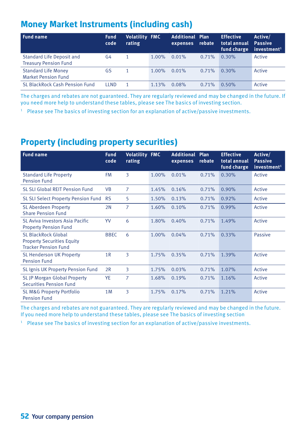## **Money Market Instruments (including cash)**

| <b>Fund name</b>                                                 | <b>Fund</b><br>code | Volatility FMC<br>rating |       | <b>Additional Plan</b><br>expenses | rebate | <b>Effective</b><br>total annual Passive<br>fund charge | Active/<br>investment <sup>1</sup> |
|------------------------------------------------------------------|---------------------|--------------------------|-------|------------------------------------|--------|---------------------------------------------------------|------------------------------------|
| <b>Standard Life Deposit and</b><br><b>Treasury Pension Fund</b> | G4                  |                          | 1.00% | 0.01%                              | 0.71%  | 0.30%                                                   | Active                             |
| <b>Standard Life Money</b><br><b>Market Pension Fund</b>         | GS                  |                          | 1.00% | 0.01%                              | 0.71%  | 0.30%                                                   | Active                             |
| SL BlackRock Cash Pension Fund                                   | <b>LLND</b>         | 1                        | 1.13% | 0.08%                              | 0.71%  | 0.50%                                                   | Active                             |

The charges and rebates are not guaranteed. They are regularly reviewed and may be changed in the future. If you need more help to understand these tables, please see The basics of investing section.

<sup>1</sup> Please see The basics of investing section for an explanation of active/passive investments.

## **Property (including property securities)**

| <b>Fund name</b>                                                                               | <b>Fund</b><br>code | <b>Volatility FMC</b><br>rating |       | <b>Additional</b><br>expenses | Plan<br>rebate | <b>Effective</b><br>total annual<br>fund charge | Active/<br><b>Passive</b><br>investment <sup>1</sup> |
|------------------------------------------------------------------------------------------------|---------------------|---------------------------------|-------|-------------------------------|----------------|-------------------------------------------------|------------------------------------------------------|
| <b>Standard Life Property</b><br><b>Pension Fund</b>                                           | <b>FM</b>           | 3                               | 1.00% | 0.01%                         | 0.71%          | 0.30%                                           | Active                                               |
| <b>SL SLI Global REIT Pension Fund</b>                                                         | <b>VB</b>           | 7                               | 1.45% | 0.16%                         | 0.71%          | 0.90%                                           | Active                                               |
| SL SLI Select Property Pension Fund                                                            | <b>RS</b>           | 5                               | 1.50% | 0.13%                         | 0.71%          | 0.92%                                           | Active                                               |
| <b>SL Aberdeen Property</b><br><b>Share Pension Fund</b>                                       | 2N                  | 7                               | 1.60% | 0.10%                         | 0.71%          | 0.99%                                           | Active                                               |
| SL Aviva Investors Asia Pacific<br><b>Property Pension Fund</b>                                | YV                  | 6                               | 1.80% | 0.40%                         | 0.71%          | 1.49%                                           | Active                                               |
| <b>SL BlackRock Global</b><br><b>Property Securities Equity</b><br><b>Tracker Pension Fund</b> | <b>BBEC</b>         | 6                               | 1.00% | 0.04%                         | 0.71%          | 0.33%                                           | <b>Passive</b>                                       |
| <b>SL Henderson UK Property</b><br><b>Pension Fund</b>                                         | 1 <sub>R</sub>      | 3                               | 1.75% | 0.35%                         | 0.71%          | 1.39%                                           | Active                                               |
| SL Ignis UK Property Pension Fund                                                              | 2R                  | 3                               | 1.75% | 0.03%                         | 0.71%          | 1.07%                                           | Active                                               |
| <b>SL JP Morgan Global Property</b><br><b>Securities Pension Fund</b>                          | YE                  | 7                               | 1.68% | 0.19%                         | 0.71%          | 1.16%                                           | Active                                               |
| <b>SL M&amp;G Property Portfolio</b><br><b>Pension Fund</b>                                    | 1M                  | 3                               | 1.75% | 0.17%                         | 0.71%          | 1.21%                                           | Active                                               |

The charges and rebates are not guaranteed. They are regularly reviewed and may be changed in the future. If you need more help to understand these tables, please see The basics of investing section

<sup>1</sup> Please see The basics of investing section for an explanation of active/passive investments.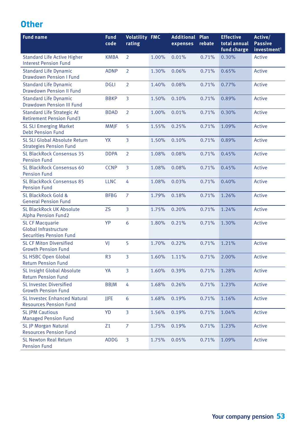## **Other**

| <b>Fund name</b>                                                                         | <b>Fund</b><br>code | <b>Volatility FMC</b><br>rating |       | <b>Additional Plan</b><br>expenses | rebate | <b>Effective</b><br>total annual<br>fund charge | Active/<br><b>Passive</b><br>investment <sup>1</sup> |
|------------------------------------------------------------------------------------------|---------------------|---------------------------------|-------|------------------------------------|--------|-------------------------------------------------|------------------------------------------------------|
| <b>Standard Life Active Higher</b><br><b>Interest Pension Fund</b>                       | <b>KMBA</b>         | $\overline{2}$                  | 1.00% | 0.01%                              | 0.71%  | 0.30%                                           | Active                                               |
| <b>Standard Life Dynamic</b><br><b>Drawdown Pension I Fund</b>                           | <b>ADNP</b>         | $\overline{2}$                  | 1.30% | 0.06%                              | 0.71%  | 0.65%                                           | Active                                               |
| <b>Standard Life Dynamic</b><br><b>Drawdown Pension II Fund</b>                          | <b>DGLI</b>         | $\overline{2}$                  | 1.40% | 0.08%                              | 0.71%  | 0.77%                                           | Active                                               |
| <b>Standard Life Dynamic</b><br><b>Drawdown Pension III Fund</b>                         | <b>BBKP</b>         | 3                               | 1.50% | 0.10%                              | 0.71%  | 0.89%                                           | Active                                               |
| <b>Standard Life Strategic At</b><br><b>Retirement Pension Fund3</b>                     | <b>BDAD</b>         | $\overline{2}$                  | 1.00% | 0.01%                              | 0.71%  | 0.30%                                           | Active                                               |
| <b>SL SLI Emerging Market</b><br><b>Debt Pension Fund</b>                                | <b>MMIF</b>         | 5                               | 1.55% | 0.25%                              | 0.71%  | 1.09%                                           | Active                                               |
| <b>SL SLI Global Absolute Return</b><br><b>Strategies Pension Fund</b>                   | <b>YX</b>           | 3                               | 1.50% | 0.10%                              | 0.71%  | 0.89%                                           | Active                                               |
| <b>SL BlackRock Consensus 35</b><br><b>Pension Fund</b>                                  | <b>DDPA</b>         | $\overline{2}$                  | 1.08% | 0.08%                              | 0.71%  | 0.45%                                           | Active                                               |
| <b>SL BlackRock Consensus 60</b><br><b>Pension Fund</b>                                  | <b>CCNP</b>         | 3                               | 1.08% | 0.08%                              | 0.71%  | 0.45%                                           | Active                                               |
| <b>SL BlackRock Consensus 85</b><br><b>Pension Fund</b>                                  | <b>LLNC</b>         | 4                               | 1.08% | 0.03%                              | 0.71%  | 0.40%                                           | Active                                               |
| <b>SL BlackRock Gold &amp;</b><br><b>General Pension Fund</b>                            | <b>BFBG</b>         | $\overline{7}$                  | 1.79% | 0.18%                              | 0.71%  | 1.26%                                           | Active                                               |
| <b>SL BlackRock UK Absolute</b><br><b>Alpha Pension Fund2</b>                            | <b>ZS</b>           | 3                               | 1.75% | 0.20%                              | 0.71%  | 1.24%                                           | Active                                               |
| <b>SL CF Macquarie</b><br><b>Global Infrastructure</b><br><b>Securities Pension Fund</b> | YP                  | 6                               | 1.80% | 0.21%                              | 0.71%  | 1.30%                                           | Active                                               |
| <b>SL CF Miton Diversified</b><br><b>Growth Pension Fund</b>                             | VJ                  | 5                               | 1.70% | 0.22%                              | 0.71%  | 1.21%                                           | Active                                               |
| <b>SL HSBC Open Global</b><br><b>Return Pension Fund</b>                                 | R <sub>3</sub>      | $\overline{\mathbf{3}}$         | 1.60% | 1.11%                              | 0.71%  | 2.00%                                           | Active                                               |
| SL Insight Global Absolute<br><b>Return Pension Fund</b>                                 | YA                  | 3                               | 1.60% | 0.39%                              | 0.71%  | 1.28%                                           | Active                                               |
| <b>SL Investec Diversified</b><br><b>Growth Pension Fund</b>                             | <b>BBJM</b>         | 4                               | 1.68% | 0.26%                              | 0.71%  | 1.23%                                           | Active                                               |
| <b>SL Investec Enhanced Natural</b><br><b>Resources Pension Fund</b>                     | <b>JIFE</b>         | 6                               | 1.68% | 0.19%                              | 0.71%  | 1.16%                                           | Active                                               |
| <b>SLIPM Cautious</b><br><b>Managed Pension Fund</b>                                     | YD                  | 3                               | 1.56% | 0.19%                              | 0.71%  | 1.04%                                           | Active                                               |
| <b>SL JP Morgan Natural</b><br><b>Resources Pension Fund</b>                             | Z1                  | $\overline{7}$                  | 1.75% | 0.19%                              | 0.71%  | 1.23%                                           | Active                                               |
| <b>SL Newton Real Return</b><br><b>Pension Fund</b>                                      | <b>ADDG</b>         | 3                               | 1.75% | 0.05%                              | 0.71%  | 1.09%                                           | Active                                               |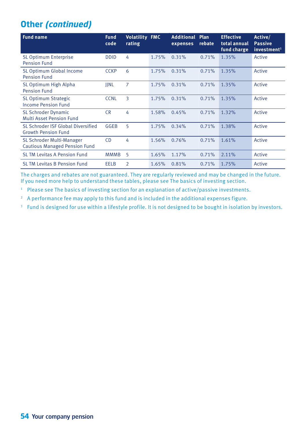## **Other** *(continued)*

| <b>Fund name</b>                                                  | <b>Fund</b><br>code | <b>Volatility FMC</b><br>rating |       | <b>Additional</b><br>expenses | Plan<br>rebate | <b>Effective</b><br>total annual<br>fund charge | Active/<br><b>Passive</b><br>investment <sup>1</sup> |
|-------------------------------------------------------------------|---------------------|---------------------------------|-------|-------------------------------|----------------|-------------------------------------------------|------------------------------------------------------|
| <b>SL Optimum Enterprise</b><br><b>Pension Fund</b>               | <b>DDID</b>         | 4                               | 1.75% | 0.31%                         | 0.71%          | 1.35%                                           | Active                                               |
| <b>SL Optimum Global Income</b><br><b>Pension Fund</b>            | <b>CCKP</b>         | 6                               | 1.75% | 0.31%                         | 0.71%          | 1.35%                                           | Active                                               |
| SL Optimum High Alpha<br><b>Pension Fund</b>                      | <b>IINL</b>         | 7                               | 1.75% | 0.31%                         | 0.71%          | 1.35%                                           | Active                                               |
| <b>SL Optimum Strategic</b><br><b>Income Pension Fund</b>         | <b>CCNL</b>         | 3                               | 1.75% | 0.31%                         | 0.71%          | 1.35%                                           | Active                                               |
| <b>SL Schroder Dynamic</b><br>Multi Asset Pension Fund            | <b>CR</b>           | 4                               | 1.58% | 0.45%                         | 0.71%          | 1.32%                                           | Active                                               |
| SL Schroder ISF Global Diversified<br><b>Growth Pension Fund</b>  | GGEB                | 5                               | 1.75% | 0.34%                         | 0.71%          | 1.38%                                           | Active                                               |
| SL Schroder Multi-Manager<br><b>Cautious Managed Pension Fund</b> | <b>CD</b>           | 4                               | 1.56% | 0.76%                         | 0.71%          | 1.61%                                           | Active                                               |
| <b>SLTM Levitas A Pension Fund</b>                                | <b>MMMB</b>         | 5                               | 1.65% | 1.17%                         | 0.71%          | 2.11%                                           | Active                                               |
| <b>SLTM Levitas B Pension Fund</b>                                | <b>EELB</b>         | $\overline{2}$                  | 1.65% | 0.81%                         | 0.71%          | 1.75%                                           | Active                                               |

The charges and rebates are not guaranteed. They are regularly reviewed and may be changed in the future. If you need more help to understand these tables, please see The basics of investing section.

<sup>1</sup> Please see The basics of investing section for an explanation of active/passive investments.

<sup>2</sup> A performance fee may apply to this fund and is included in the additional expenses figure.

<sup>3</sup> Fund is designed for use within a lifestyle profile. It is not designed to be bought in isolation by investors.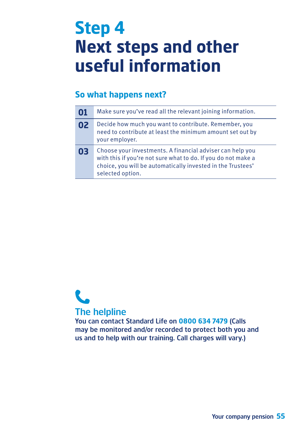## **Step 4 Next steps and other useful information**

## **So what happens next?**

| 01 | Make sure you've read all the relevant joining information.                                                                                                                                                   |
|----|---------------------------------------------------------------------------------------------------------------------------------------------------------------------------------------------------------------|
| 02 | Decide how much you want to contribute. Remember, you<br>need to contribute at least the minimum amount set out by<br>your employer.                                                                          |
| 03 | Choose your investments. A financial adviser can help you<br>with this if you're not sure what to do. If you do not make a<br>choice, you will be automatically invested in the Trustees'<br>selected option. |

# The helpline

You can contact Standard Life on **0800 634 7479** (Calls may be monitored and/or recorded to protect both you and us and to help with our training. Call charges will vary.)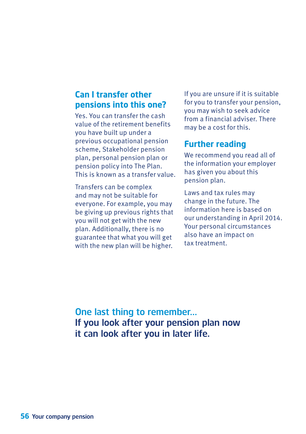### **Can I transfer other pensions into this one?**

Yes. You can transfer the cash value of the retirement benefits you have built up under a previous occupational pension scheme, Stakeholder pension plan, personal pension plan or pension policy into The Plan. This is known as a transfer value.

Transfers can be complex and may not be suitable for everyone. For example, you may be giving up previous rights that you will not get with the new plan. Additionally, there is no guarantee that what you will get with the new plan will be higher.

If you are unsure if it is suitable for you to transfer your pension, you may wish to seek advice from a financial adviser. There may be a cost for this.

### **Further reading**

We recommend you read all of the information your employer has given you about this pension plan.

Laws and tax rules may change in the future. The information here is based on our understanding in April 2014. Your personal circumstances also have an impact on tax treatment.

One last thing to remember… If you look after your pension plan now it can look after you in later life.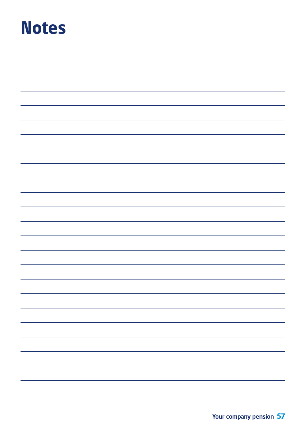## **Notes**